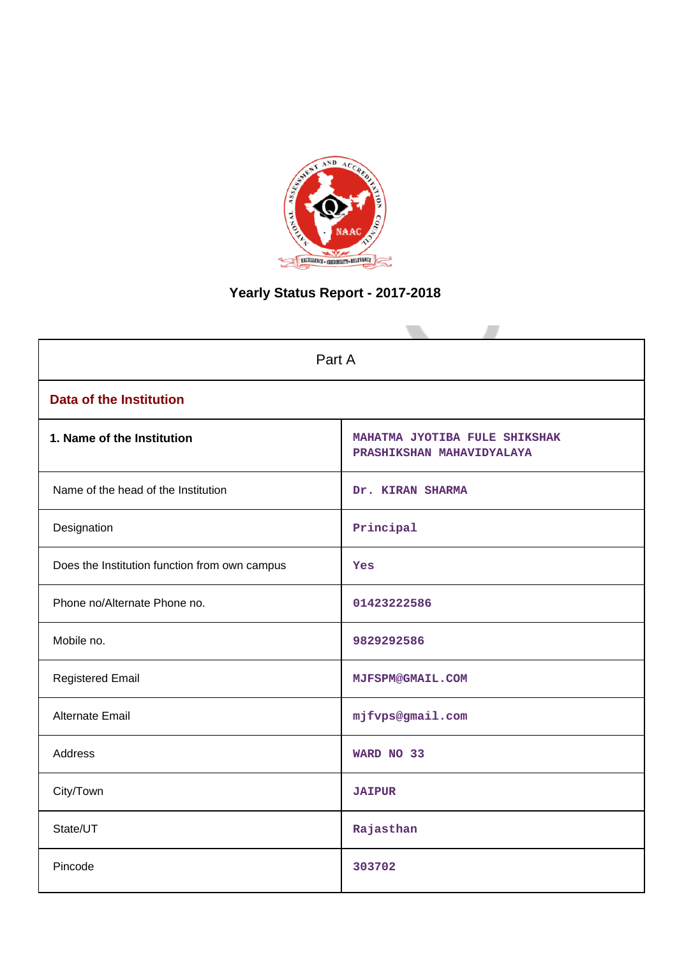

# **Yearly Status Report - 2017-2018**

| Part A                                        |                                                            |  |  |
|-----------------------------------------------|------------------------------------------------------------|--|--|
| <b>Data of the Institution</b>                |                                                            |  |  |
| 1. Name of the Institution                    | MAHATMA JYOTIBA FULE SHIKSHAK<br>PRASHIKSHAN MAHAVIDYALAYA |  |  |
| Name of the head of the Institution           | Dr. KIRAN SHARMA                                           |  |  |
| Designation                                   | Principal                                                  |  |  |
| Does the Institution function from own campus | Yes                                                        |  |  |
| Phone no/Alternate Phone no.                  | 01423222586                                                |  |  |
| Mobile no.                                    | 9829292586                                                 |  |  |
| <b>Registered Email</b>                       | <b>MJFSPM@GMAIL.COM</b>                                    |  |  |
| Alternate Email                               | mjfvps@gmail.com                                           |  |  |
| <b>Address</b>                                | WARD NO 33                                                 |  |  |
| City/Town                                     | <b>JAIPUR</b>                                              |  |  |
| State/UT                                      | Rajasthan                                                  |  |  |
| Pincode                                       | 303702                                                     |  |  |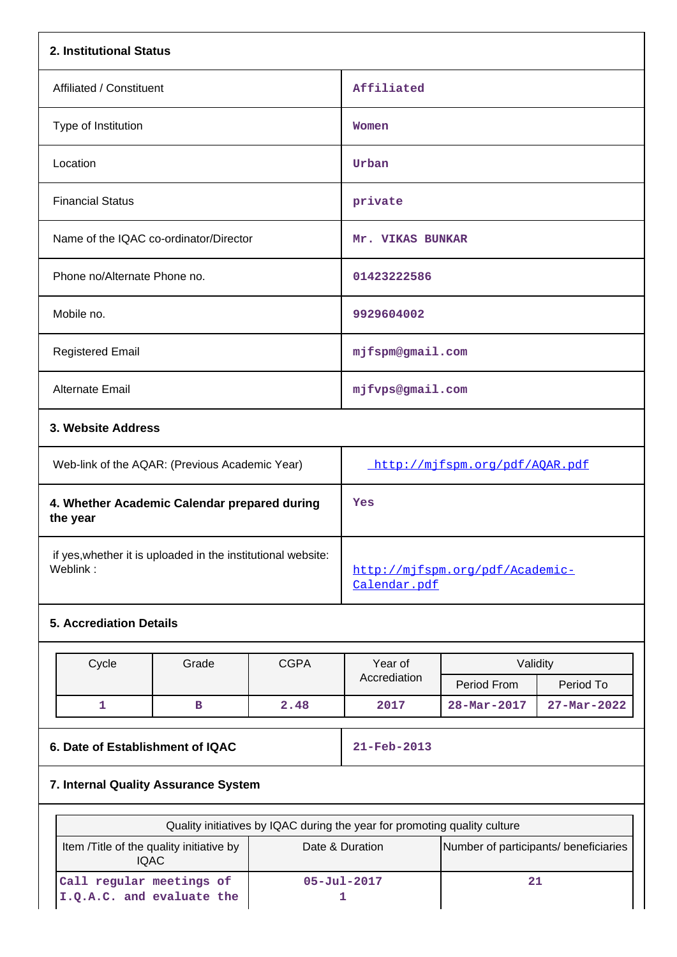| 2. Institutional Status                                  |                                |
|----------------------------------------------------------|--------------------------------|
| Affiliated / Constituent                                 | Affiliated                     |
| Type of Institution                                      | Women                          |
| Location                                                 | Urban                          |
| <b>Financial Status</b>                                  | private                        |
| Name of the IQAC co-ordinator/Director                   | Mr. VIKAS BUNKAR               |
| Phone no/Alternate Phone no.                             | 01423222586                    |
| Mobile no.                                               | 9929604002                     |
| <b>Registered Email</b>                                  | mjfspm@gmail.com               |
| <b>Alternate Email</b>                                   | mjfvps@gmail.com               |
| 3. Website Address                                       |                                |
| Web-link of the AQAR: (Previous Academic Year)           | http://mjfspm.org/pdf/AQAR.pdf |
| 4. Whether Academic Calendar prepared during<br>the year | Yes                            |

 if yes,whether it is uploaded in the institutional website: http://mjfspm.org/pdf/Academic-

# **5. Accrediation Details**

|                                  | Cycle | Grade | <b>CGPA</b>              | Year of      | Validity          |                   |
|----------------------------------|-------|-------|--------------------------|--------------|-------------------|-------------------|
|                                  |       |       |                          | Accrediation | Period From       | Period To         |
|                                  |       | в     | 2.48                     | 2017         | $28 - Mar - 2017$ | $27 - Mar - 2022$ |
|                                  |       |       |                          |              |                   |                   |
| 6. Date of Establishment of IQAC |       |       | $21 - \text{Feb} - 2013$ |              |                   |                   |

Calendar.pdf

# **7. Internal Quality Assurance System**

| Quality initiatives by IQAC during the year for promoting quality culture                                           |                   |    |  |  |  |
|---------------------------------------------------------------------------------------------------------------------|-------------------|----|--|--|--|
| Number of participants/ beneficiaries<br>Item /Title of the quality initiative by<br>Date & Duration<br><b>IQAC</b> |                   |    |  |  |  |
| Call regular meetings of<br>I.Q.A.C. and evaluate the                                                               | $05 - Ju1 - 2017$ | 21 |  |  |  |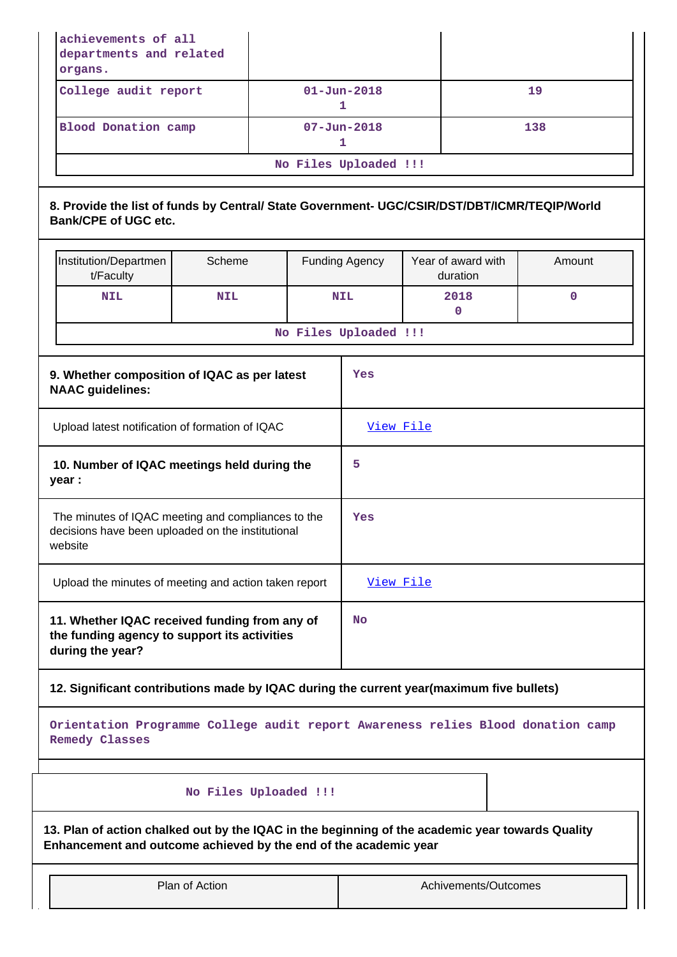|                                                                                                                   | achievements of all<br>departments and related<br>organs.                                                                                                            |                       |  |           |                        |  |                                |             |  |
|-------------------------------------------------------------------------------------------------------------------|----------------------------------------------------------------------------------------------------------------------------------------------------------------------|-----------------------|--|-----------|------------------------|--|--------------------------------|-------------|--|
|                                                                                                                   | College audit report                                                                                                                                                 |                       |  |           | $01 - Jun - 2018$<br>1 |  |                                | 19          |  |
|                                                                                                                   | <b>Blood Donation camp</b>                                                                                                                                           |                       |  |           | $07 - Jun - 2018$<br>1 |  |                                | 138         |  |
|                                                                                                                   |                                                                                                                                                                      |                       |  |           | No Files Uploaded !!!  |  |                                |             |  |
|                                                                                                                   | 8. Provide the list of funds by Central/ State Government- UGC/CSIR/DST/DBT/ICMR/TEQIP/World<br><b>Bank/CPE of UGC etc.</b>                                          |                       |  |           |                        |  |                                |             |  |
|                                                                                                                   | Institution/Departmen<br>t/Faculty                                                                                                                                   | Scheme                |  |           | <b>Funding Agency</b>  |  | Year of award with<br>duration | Amount      |  |
|                                                                                                                   | <b>NIL</b>                                                                                                                                                           | <b>NIL</b>            |  |           | <b>NIL</b>             |  | 2018<br>$\mathbf{0}$           | $\mathbf 0$ |  |
|                                                                                                                   |                                                                                                                                                                      |                       |  |           | No Files Uploaded !!!  |  |                                |             |  |
|                                                                                                                   | 9. Whether composition of IQAC as per latest<br><b>NAAC</b> guidelines:                                                                                              |                       |  |           | Yes                    |  |                                |             |  |
|                                                                                                                   | Upload latest notification of formation of IQAC                                                                                                                      |                       |  |           | View File              |  |                                |             |  |
|                                                                                                                   | 10. Number of IQAC meetings held during the<br>year :                                                                                                                |                       |  |           | 5                      |  |                                |             |  |
|                                                                                                                   | The minutes of IQAC meeting and compliances to the<br>decisions have been uploaded on the institutional<br>website                                                   |                       |  |           | Yes                    |  |                                |             |  |
|                                                                                                                   | Upload the minutes of meeting and action taken report                                                                                                                |                       |  |           | View File              |  |                                |             |  |
| 11. Whether IQAC received funding from any of<br>the funding agency to support its activities<br>during the year? |                                                                                                                                                                      |                       |  | <b>No</b> |                        |  |                                |             |  |
|                                                                                                                   | 12. Significant contributions made by IQAC during the current year (maximum five bullets)                                                                            |                       |  |           |                        |  |                                |             |  |
|                                                                                                                   | Orientation Programme College audit report Awareness relies Blood donation camp<br><b>Remedy Classes</b>                                                             |                       |  |           |                        |  |                                |             |  |
|                                                                                                                   |                                                                                                                                                                      | No Files Uploaded !!! |  |           |                        |  |                                |             |  |
|                                                                                                                   | 13. Plan of action chalked out by the IQAC in the beginning of the academic year towards Quality<br>Enhancement and outcome achieved by the end of the academic year |                       |  |           |                        |  |                                |             |  |
| Plan of Action                                                                                                    |                                                                                                                                                                      |                       |  |           | Achivements/Outcomes   |  |                                |             |  |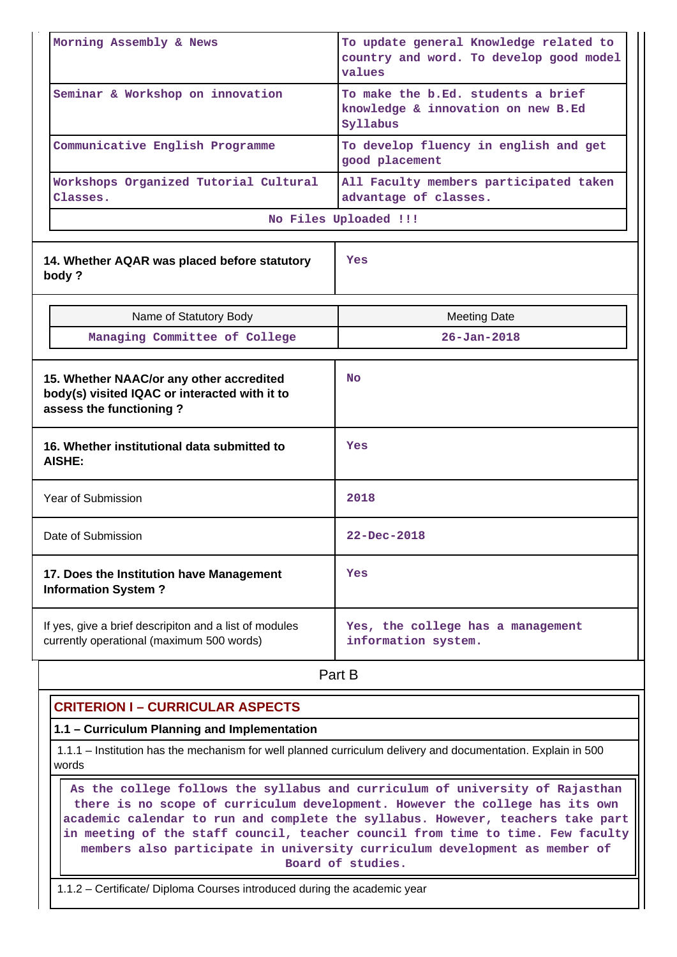| Morning Assembly & News<br>Seminar & Workshop on innovation<br>Communicative English Programme                       | To update general Knowledge related to<br>country and word. To develop good model<br>values<br>To make the b.Ed. students a brief<br>knowledge & innovation on new B.Ed<br>Syllabus<br>To develop fluency in english and get |  |  |
|----------------------------------------------------------------------------------------------------------------------|------------------------------------------------------------------------------------------------------------------------------------------------------------------------------------------------------------------------------|--|--|
| Workshops Organized Tutorial Cultural<br>Classes.                                                                    | good placement<br>All Faculty members participated taken<br>advantage of classes.                                                                                                                                            |  |  |
|                                                                                                                      | No Files Uploaded !!!                                                                                                                                                                                                        |  |  |
| 14. Whether AQAR was placed before statutory<br>body?                                                                | Yes                                                                                                                                                                                                                          |  |  |
| Name of Statutory Body                                                                                               | <b>Meeting Date</b>                                                                                                                                                                                                          |  |  |
| Managing Committee of College                                                                                        | $26 - Jan - 2018$                                                                                                                                                                                                            |  |  |
| 15. Whether NAAC/or any other accredited<br>body(s) visited IQAC or interacted with it to<br>assess the functioning? | <b>No</b>                                                                                                                                                                                                                    |  |  |
| 16. Whether institutional data submitted to<br>AISHE:                                                                | Yes                                                                                                                                                                                                                          |  |  |
| Year of Submission                                                                                                   | 2018                                                                                                                                                                                                                         |  |  |
| Date of Submission                                                                                                   | 22-Dec-2018                                                                                                                                                                                                                  |  |  |
| 17. Does the Institution have Management<br><b>Information System?</b>                                               | Yes                                                                                                                                                                                                                          |  |  |
| If yes, give a brief descripiton and a list of modules<br>currently operational (maximum 500 words)                  | Yes, the college has a management<br>information system.                                                                                                                                                                     |  |  |

**Part B** 

## **CRITERION I – CURRICULAR ASPECTS**

#### **1.1 – Curriculum Planning and Implementation**

 1.1.1 – Institution has the mechanism for well planned curriculum delivery and documentation. Explain in 500 words

 **As the college follows the syllabus and curriculum of university of Rajasthan there is no scope of curriculum development. However the college has its own academic calendar to run and complete the syllabus. However, teachers take part in meeting of the staff council, teacher council from time to time. Few faculty members also participate in university curriculum development as member of Board of studies.**

1.1.2 – Certificate/ Diploma Courses introduced during the academic year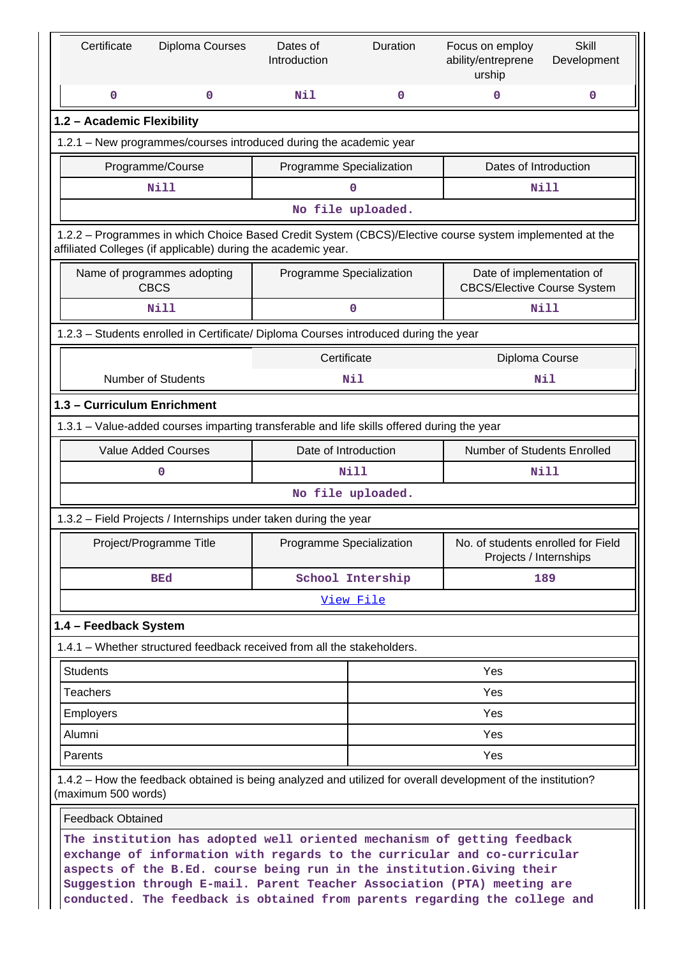| Certificate                                                                                                                                                                                                                                                                                                                                                                            | Diploma Courses                                                                                                                                                          | Dates of<br>Introduction | Duration          | Focus on employ<br>ability/entreprene<br>urship                 | <b>Skill</b><br>Development |
|----------------------------------------------------------------------------------------------------------------------------------------------------------------------------------------------------------------------------------------------------------------------------------------------------------------------------------------------------------------------------------------|--------------------------------------------------------------------------------------------------------------------------------------------------------------------------|--------------------------|-------------------|-----------------------------------------------------------------|-----------------------------|
| 0                                                                                                                                                                                                                                                                                                                                                                                      | 0                                                                                                                                                                        | Nil                      | 0                 | 0                                                               | 0                           |
| 1.2 - Academic Flexibility                                                                                                                                                                                                                                                                                                                                                             |                                                                                                                                                                          |                          |                   |                                                                 |                             |
|                                                                                                                                                                                                                                                                                                                                                                                        | 1.2.1 - New programmes/courses introduced during the academic year                                                                                                       |                          |                   |                                                                 |                             |
|                                                                                                                                                                                                                                                                                                                                                                                        | Programme/Course                                                                                                                                                         | Programme Specialization |                   | Dates of Introduction                                           |                             |
|                                                                                                                                                                                                                                                                                                                                                                                        | <b>Nill</b>                                                                                                                                                              |                          | $\mathbf 0$       |                                                                 | Nill                        |
|                                                                                                                                                                                                                                                                                                                                                                                        |                                                                                                                                                                          |                          | No file uploaded. |                                                                 |                             |
|                                                                                                                                                                                                                                                                                                                                                                                        | 1.2.2 - Programmes in which Choice Based Credit System (CBCS)/Elective course system implemented at the<br>affiliated Colleges (if applicable) during the academic year. |                          |                   |                                                                 |                             |
|                                                                                                                                                                                                                                                                                                                                                                                        | Name of programmes adopting<br><b>CBCS</b>                                                                                                                               | Programme Specialization |                   | Date of implementation of<br><b>CBCS/Elective Course System</b> |                             |
|                                                                                                                                                                                                                                                                                                                                                                                        | <b>Nill</b>                                                                                                                                                              |                          | 0                 |                                                                 | Nill                        |
|                                                                                                                                                                                                                                                                                                                                                                                        | 1.2.3 - Students enrolled in Certificate/ Diploma Courses introduced during the year                                                                                     |                          |                   |                                                                 |                             |
|                                                                                                                                                                                                                                                                                                                                                                                        |                                                                                                                                                                          | Certificate              |                   | Diploma Course                                                  |                             |
|                                                                                                                                                                                                                                                                                                                                                                                        | <b>Number of Students</b>                                                                                                                                                |                          | Nil               |                                                                 | Nil                         |
| 1.3 - Curriculum Enrichment                                                                                                                                                                                                                                                                                                                                                            |                                                                                                                                                                          |                          |                   |                                                                 |                             |
| 1.3.1 - Value-added courses imparting transferable and life skills offered during the year                                                                                                                                                                                                                                                                                             |                                                                                                                                                                          |                          |                   |                                                                 |                             |
|                                                                                                                                                                                                                                                                                                                                                                                        | <b>Value Added Courses</b>                                                                                                                                               | Date of Introduction     |                   | Number of Students Enrolled                                     |                             |
|                                                                                                                                                                                                                                                                                                                                                                                        | 0                                                                                                                                                                        |                          | <b>Nill</b>       |                                                                 | Nill                        |
|                                                                                                                                                                                                                                                                                                                                                                                        |                                                                                                                                                                          |                          | No file uploaded. |                                                                 |                             |
|                                                                                                                                                                                                                                                                                                                                                                                        | 1.3.2 - Field Projects / Internships under taken during the year                                                                                                         |                          |                   |                                                                 |                             |
|                                                                                                                                                                                                                                                                                                                                                                                        | Project/Programme Title                                                                                                                                                  | Programme Specialization |                   | No. of students enrolled for Field<br>Projects / Internships    |                             |
|                                                                                                                                                                                                                                                                                                                                                                                        | <b>BEd</b>                                                                                                                                                               |                          | School Intership  |                                                                 | 189                         |
|                                                                                                                                                                                                                                                                                                                                                                                        |                                                                                                                                                                          |                          | View File         |                                                                 |                             |
| 1.4 - Feedback System                                                                                                                                                                                                                                                                                                                                                                  |                                                                                                                                                                          |                          |                   |                                                                 |                             |
|                                                                                                                                                                                                                                                                                                                                                                                        | 1.4.1 – Whether structured feedback received from all the stakeholders.                                                                                                  |                          |                   |                                                                 |                             |
| <b>Students</b>                                                                                                                                                                                                                                                                                                                                                                        |                                                                                                                                                                          |                          |                   | Yes                                                             |                             |
| <b>Teachers</b>                                                                                                                                                                                                                                                                                                                                                                        |                                                                                                                                                                          |                          |                   | Yes                                                             |                             |
| Employers                                                                                                                                                                                                                                                                                                                                                                              |                                                                                                                                                                          |                          |                   | Yes                                                             |                             |
| Alumni                                                                                                                                                                                                                                                                                                                                                                                 |                                                                                                                                                                          |                          |                   | Yes                                                             |                             |
| Yes<br>Parents                                                                                                                                                                                                                                                                                                                                                                         |                                                                                                                                                                          |                          |                   |                                                                 |                             |
| 1.4.2 – How the feedback obtained is being analyzed and utilized for overall development of the institution?<br>(maximum 500 words)                                                                                                                                                                                                                                                    |                                                                                                                                                                          |                          |                   |                                                                 |                             |
| <b>Feedback Obtained</b>                                                                                                                                                                                                                                                                                                                                                               |                                                                                                                                                                          |                          |                   |                                                                 |                             |
| The institution has adopted well oriented mechanism of getting feedback<br>exchange of information with regards to the curricular and co-curricular<br>aspects of the B.Ed. course being run in the institution. Giving their<br>Suggestion through E-mail. Parent Teacher Association (PTA) meeting are<br>conducted. The feedback is obtained from parents regarding the college and |                                                                                                                                                                          |                          |                   |                                                                 |                             |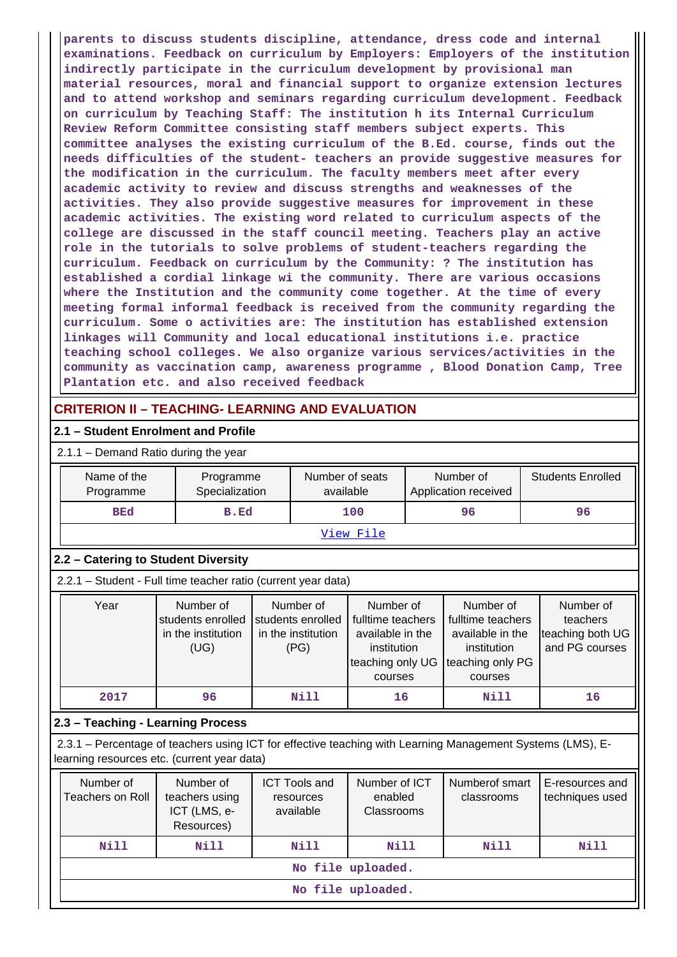**parents to discuss students discipline, attendance, dress code and internal examinations. Feedback on curriculum by Employers: Employers of the institution indirectly participate in the curriculum development by provisional man material resources, moral and financial support to organize extension lectures and to attend workshop and seminars regarding curriculum development. Feedback on curriculum by Teaching Staff: The institution h its Internal Curriculum Review Reform Committee consisting staff members subject experts. This committee analyses the existing curriculum of the B.Ed. course, finds out the needs difficulties of the student- teachers an provide suggestive measures for the modification in the curriculum. The faculty members meet after every academic activity to review and discuss strengths and weaknesses of the activities. They also provide suggestive measures for improvement in these academic activities. The existing word related to curriculum aspects of the college are discussed in the staff council meeting. Teachers play an active role in the tutorials to solve problems of student-teachers regarding the curriculum. Feedback on curriculum by the Community: ? The institution has established a cordial linkage wi the community. There are various occasions where the Institution and the community come together. At the time of every meeting formal informal feedback is received from the community regarding the curriculum. Some o activities are: The institution has established extension linkages will Community and local educational institutions i.e. practice teaching school colleges. We also organize various services/activities in the community as vaccination camp, awareness programme , Blood Donation Camp, Tree Plantation etc. and also received feedback**

## **CRITERION II – TEACHING- LEARNING AND EVALUATION**

#### **2.1 – Student Enrolment and Profile**

| 2.1.1 – Demand Ratio during the year |  |
|--------------------------------------|--|
|--------------------------------------|--|

| Name of the<br>Programme | Programme<br>Specialization | Number of seats<br>available | Number of<br>Application received | <b>Students Enrolled</b> |
|--------------------------|-----------------------------|------------------------------|-----------------------------------|--------------------------|
| <b>BEd</b>               | B.Ed                        | 100                          | 96                                | 96                       |
|                          |                             | View File                    |                                   |                          |

#### **2.2 – Catering to Student Diversity**

2.2.1 – Student - Full time teacher ratio (current year data)

| Year | Number of          | Number of          | Number of                          | Number of         | Number of        |
|------|--------------------|--------------------|------------------------------------|-------------------|------------------|
|      | students enrolled  | students enrolled  | fulltime teachers                  | fulltime teachers | teachers         |
|      | in the institution | in the institution | available in the                   | available in the  | teaching both UG |
|      | (UG)               | (PG)               | institution                        | institution       | and PG courses   |
|      |                    |                    | teaching only UG Iteaching only PG |                   |                  |
|      |                    |                    | courses                            | courses           |                  |
| 2017 | 96                 | Nill               | 16                                 | Nill              | 16               |

#### **2.3 – Teaching - Learning Process**

 2.3.1 – Percentage of teachers using ICT for effective teaching with Learning Management Systems (LMS), Elearning resources etc. (current year data)

| Number of<br>Teachers on Roll | Number of<br>teachers using<br>ICT (LMS, e-<br>Resources) | <b>ICT Tools and</b><br>resources<br>available | Number of ICT<br>enabled<br><b>Classrooms</b> | Numberof smart<br>classrooms | E-resources and<br>techniques used |  |
|-------------------------------|-----------------------------------------------------------|------------------------------------------------|-----------------------------------------------|------------------------------|------------------------------------|--|
| Nill                          | Nill                                                      | Nill                                           | Nill                                          | Nill                         | Nill                               |  |
| No file uploaded.             |                                                           |                                                |                                               |                              |                                    |  |
| No file uploaded.             |                                                           |                                                |                                               |                              |                                    |  |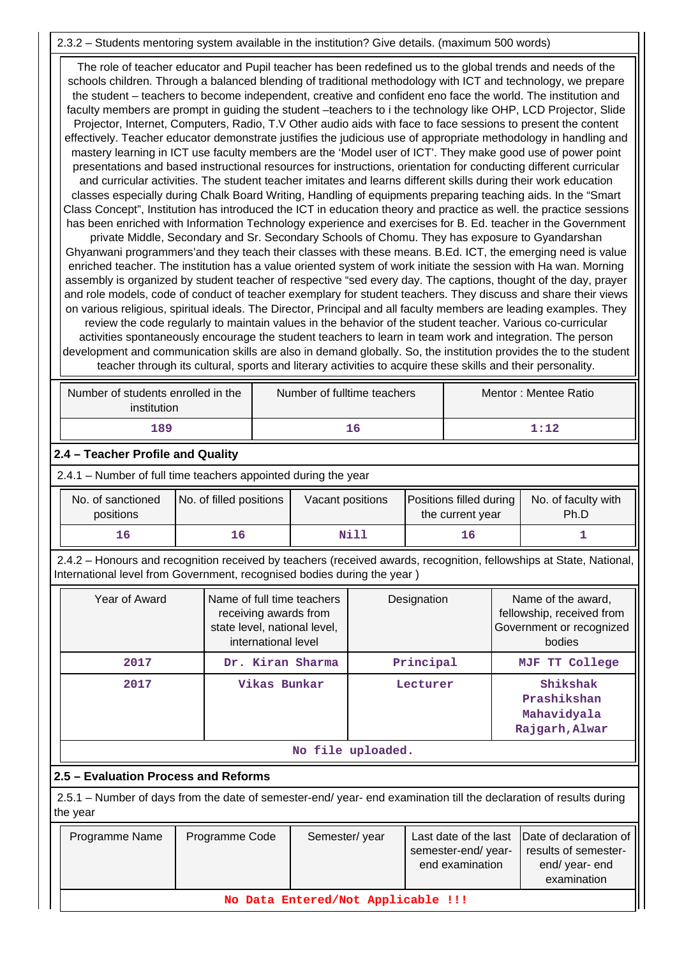#### 2.3.2 – Students mentoring system available in the institution? Give details. (maximum 500 words)

 The role of teacher educator and Pupil teacher has been redefined us to the global trends and needs of the schools children. Through a balanced blending of traditional methodology with ICT and technology, we prepare the student – teachers to become independent, creative and confident eno face the world. The institution and faculty members are prompt in guiding the student –teachers to i the technology like OHP, LCD Projector, Slide Projector, Internet, Computers, Radio, T.V Other audio aids with face to face sessions to present the content effectively. Teacher educator demonstrate justifies the judicious use of appropriate methodology in handling and mastery learning in ICT use faculty members are the 'Model user of ICT'. They make good use of power point presentations and based instructional resources for instructions, orientation for conducting different curricular and curricular activities. The student teacher imitates and learns different skills during their work education classes especially during Chalk Board Writing, Handling of equipments preparing teaching aids. In the "Smart Class Concept", Institution has introduced the ICT in education theory and practice as well. the practice sessions has been enriched with Information Technology experience and exercises for B. Ed. teacher in the Government private Middle, Secondary and Sr. Secondary Schools of Chomu. They has exposure to Gyandarshan Ghyanwani programmers'and they teach their classes with these means. B.Ed. ICT, the emerging need is value enriched teacher. The institution has a value oriented system of work initiate the session with Ha wan. Morning assembly is organized by student teacher of respective "sed every day. The captions, thought of the day, prayer and role models, code of conduct of teacher exemplary for student teachers. They discuss and share their views on various religious, spiritual ideals. The Director, Principal and all faculty members are leading examples. They review the code regularly to maintain values in the behavior of the student teacher. Various co-curricular activities spontaneously encourage the student teachers to learn in team work and integration. The person development and communication skills are also in demand globally. So, the institution provides the to the student

teacher through its cultural, sports and literary activities to acquire these skills and their personality.

| Number of students enrolled in the<br>institution | Number of fulltime teachers | Mentor: Mentee Ratio |
|---------------------------------------------------|-----------------------------|----------------------|
| 189                                               | 16                          | 1:12                 |

## **2.4 – Teacher Profile and Quality**

2.4.1 – Number of full time teachers appointed during the year

| No. of sanctioned<br>positions | No. of filled positions | Vacant positions | Positions filled during<br>the current year | No. of faculty with<br>Ph.D |
|--------------------------------|-------------------------|------------------|---------------------------------------------|-----------------------------|
| 16                             |                         | Nill             |                                             |                             |

 2.4.2 – Honours and recognition received by teachers (received awards, recognition, fellowships at State, National, International level from Government, recognised bodies during the year )

| Year of Award     | Name of full time teachers<br>receiving awards from<br>state level, national level,<br>international level | Designation | Name of the award,<br>fellowship, received from<br>Government or recognized<br>bodies |  |  |  |  |  |
|-------------------|------------------------------------------------------------------------------------------------------------|-------------|---------------------------------------------------------------------------------------|--|--|--|--|--|
| 2017              | Dr. Kiran Sharma                                                                                           | Principal   | MJF TT College                                                                        |  |  |  |  |  |
| 2017              | Vikas Bunkar                                                                                               | Lecturer    | Shikshak<br>Prashikshan<br>Mahavidyala<br>Rajgarh, Alwar                              |  |  |  |  |  |
| No file uploaded. |                                                                                                            |             |                                                                                       |  |  |  |  |  |

## **2.5 – Evaluation Process and Reforms**

 2.5.1 – Number of days from the date of semester-end/ year- end examination till the declaration of results during the year

| Programme Name                     | Programme Code | Semester/year | semester-end/year-<br>end examination | Last date of the last Date of declaration of<br>results of semester-<br>end/year-end<br>examination |  |  |  |  |  |
|------------------------------------|----------------|---------------|---------------------------------------|-----------------------------------------------------------------------------------------------------|--|--|--|--|--|
| No Data Entered/Not Applicable !!! |                |               |                                       |                                                                                                     |  |  |  |  |  |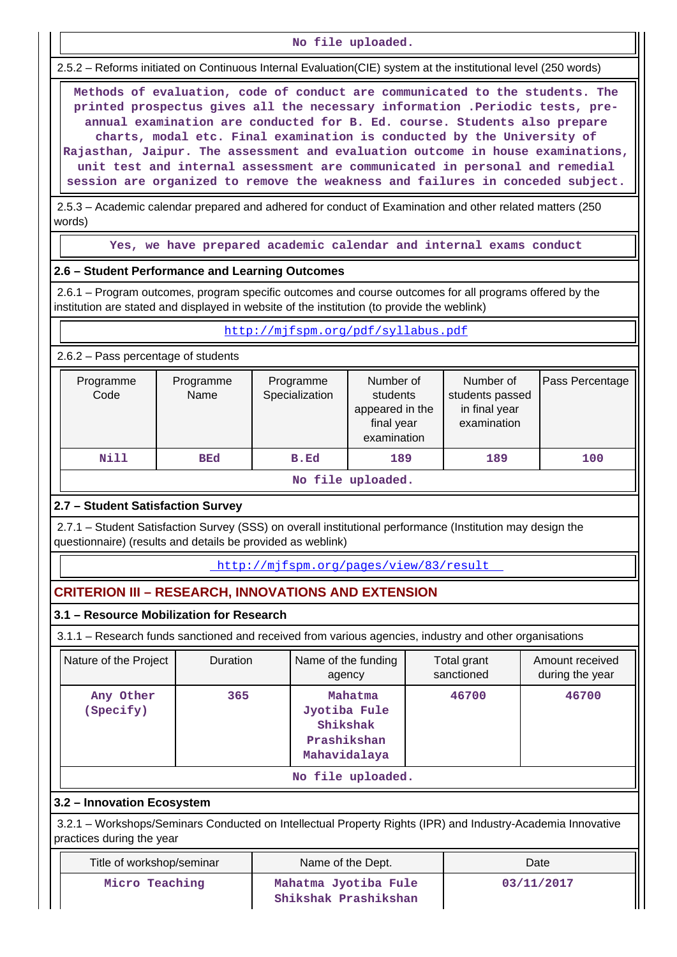**No file uploaded.**

2.5.2 – Reforms initiated on Continuous Internal Evaluation(CIE) system at the institutional level (250 words)

 **Methods of evaluation, code of conduct are communicated to the students. The printed prospectus gives all the necessary information .Periodic tests, preannual examination are conducted for B. Ed. course. Students also prepare charts, modal etc. Final examination is conducted by the University of Rajasthan, Jaipur. The assessment and evaluation outcome in house examinations, unit test and internal assessment are communicated in personal and remedial session are organized to remove the weakness and failures in conceded subject.**

 2.5.3 – Academic calendar prepared and adhered for conduct of Examination and other related matters (250 words)

**Yes, we have prepared academic calendar and internal exams conduct**

#### **2.6 – Student Performance and Learning Outcomes**

 2.6.1 – Program outcomes, program specific outcomes and course outcomes for all programs offered by the institution are stated and displayed in website of the institution (to provide the weblink)

| http://mifspm.org/pdf/syllabus.pdf |
|------------------------------------|
|                                    |

2.6.2 – Pass percentage of students

| Programme<br>Code | Programme<br>Name | Programme<br>Specialization | Number of<br>students<br>appeared in the<br>final year<br>examination | Number of<br>students passed<br>in final year<br>examination | Pass Percentage |
|-------------------|-------------------|-----------------------------|-----------------------------------------------------------------------|--------------------------------------------------------------|-----------------|
| Nill              | <b>BEd</b>        | B.Ed                        | 189                                                                   | 189                                                          | 100             |
|                   |                   |                             | المتمالك والمتعارض والملائك المتعد                                    |                                                              |                 |

**No file uploaded.**

## **2.7 – Student Satisfaction Survey**

 2.7.1 – Student Satisfaction Survey (SSS) on overall institutional performance (Institution may design the questionnaire) (results and details be provided as weblink)

http://mjfspm.org/pages/view/83/result

## **CRITERION III – RESEARCH, INNOVATIONS AND EXTENSION**

**3.1 – Resource Mobilization for Research**

3.1.1 – Research funds sanctioned and received from various agencies, industry and other organisations

| Nature of the Project  | <b>Duration</b> | Name of the funding<br>agency                                      | Total grant<br>sanctioned | Amount received<br>during the year |  |  |  |
|------------------------|-----------------|--------------------------------------------------------------------|---------------------------|------------------------------------|--|--|--|
| Any Other<br>(Specify) | 365             | Mahatma<br>Jyotiba Fule<br>Shikshak<br>Prashikshan<br>Mahavidalaya | 46700                     | 46700                              |  |  |  |
| No file uploaded.      |                 |                                                                    |                           |                                    |  |  |  |

#### **3.2 – Innovation Ecosystem**

 3.2.1 – Workshops/Seminars Conducted on Intellectual Property Rights (IPR) and Industry-Academia Innovative practices during the year

| Title of workshop/seminar | Name of the Dept.                            | Date       |  |  |  |
|---------------------------|----------------------------------------------|------------|--|--|--|
| Micro Teaching            | Mahatma Jyotiba Fule<br>Shikshak Prashikshan | 03/11/2017 |  |  |  |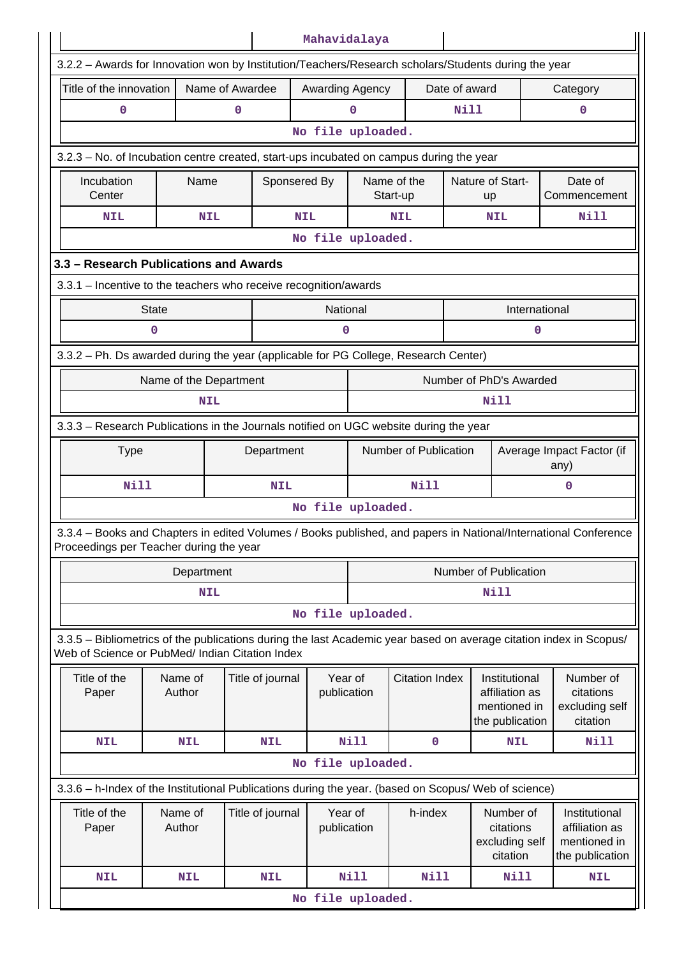|                                                                                                                                                                       |                                       |                 |                        | Mahavidalaya           |             |                           |                                                      |                                                                    |                                                      |  |  |  |  |  |  |  |  |
|-----------------------------------------------------------------------------------------------------------------------------------------------------------------------|---------------------------------------|-----------------|------------------------|------------------------|-------------|---------------------------|------------------------------------------------------|--------------------------------------------------------------------|------------------------------------------------------|--|--|--|--|--|--|--|--|
| 3.2.2 - Awards for Innovation won by Institution/Teachers/Research scholars/Students during the year                                                                  |                                       |                 |                        |                        |             |                           |                                                      |                                                                    |                                                      |  |  |  |  |  |  |  |  |
| Title of the innovation                                                                                                                                               |                                       | Name of Awardee |                        | Awarding Agency        |             |                           | Date of award                                        |                                                                    | Category                                             |  |  |  |  |  |  |  |  |
| 0                                                                                                                                                                     |                                       | 0               |                        |                        | 0           |                           | <b>Nill</b>                                          |                                                                    | 0                                                    |  |  |  |  |  |  |  |  |
|                                                                                                                                                                       |                                       |                 |                        | No file uploaded.      |             |                           |                                                      |                                                                    |                                                      |  |  |  |  |  |  |  |  |
| 3.2.3 – No. of Incubation centre created, start-ups incubated on campus during the year                                                                               |                                       |                 |                        |                        |             |                           |                                                      |                                                                    |                                                      |  |  |  |  |  |  |  |  |
| Incubation<br>Center                                                                                                                                                  | Name                                  |                 | Sponsered By           |                        |             | Name of the<br>Start-up   | Nature of Start-<br>Date of<br>Commencement<br>up    |                                                                    |                                                      |  |  |  |  |  |  |  |  |
| <b>NIL</b>                                                                                                                                                            |                                       | <b>NIL</b>      |                        | <b>NIL</b>             |             | Nill<br>NIL<br><b>NIL</b> |                                                      |                                                                    |                                                      |  |  |  |  |  |  |  |  |
|                                                                                                                                                                       |                                       |                 |                        | No file uploaded.      |             |                           |                                                      |                                                                    |                                                      |  |  |  |  |  |  |  |  |
| 3.3 - Research Publications and Awards                                                                                                                                |                                       |                 |                        |                        |             |                           |                                                      |                                                                    |                                                      |  |  |  |  |  |  |  |  |
| 3.3.1 - Incentive to the teachers who receive recognition/awards                                                                                                      |                                       |                 |                        |                        |             |                           |                                                      |                                                                    |                                                      |  |  |  |  |  |  |  |  |
|                                                                                                                                                                       | <b>State</b>                          |                 |                        | National               |             |                           |                                                      | International                                                      |                                                      |  |  |  |  |  |  |  |  |
|                                                                                                                                                                       | $\mathbf 0$                           |                 |                        | $\mathbf 0$            |             |                           |                                                      | 0                                                                  |                                                      |  |  |  |  |  |  |  |  |
| 3.3.2 - Ph. Ds awarded during the year (applicable for PG College, Research Center)                                                                                   |                                       |                 |                        |                        |             |                           |                                                      |                                                                    |                                                      |  |  |  |  |  |  |  |  |
|                                                                                                                                                                       | Name of the Department                |                 |                        |                        |             |                           |                                                      | Number of PhD's Awarded                                            |                                                      |  |  |  |  |  |  |  |  |
|                                                                                                                                                                       |                                       | <b>NIL</b>      |                        |                        | <b>Nill</b> |                           |                                                      |                                                                    |                                                      |  |  |  |  |  |  |  |  |
| 3.3.3 - Research Publications in the Journals notified on UGC website during the year                                                                                 |                                       |                 |                        |                        |             |                           |                                                      |                                                                    |                                                      |  |  |  |  |  |  |  |  |
| <b>Type</b>                                                                                                                                                           | Department                            |                 |                        | Number of Publication  |             |                           | Average Impact Factor (if<br>any)                    |                                                                    |                                                      |  |  |  |  |  |  |  |  |
| <b>Nill</b>                                                                                                                                                           |                                       |                 | <b>NIL</b>             |                        |             | Nill                      |                                                      |                                                                    | 0                                                    |  |  |  |  |  |  |  |  |
|                                                                                                                                                                       |                                       |                 |                        | No file uploaded.      |             |                           |                                                      |                                                                    |                                                      |  |  |  |  |  |  |  |  |
| 3.3.4 – Books and Chapters in edited Volumes / Books published, and papers in National/International Conference<br>Proceedings per Teacher during the year            |                                       |                 |                        |                        |             |                           |                                                      |                                                                    |                                                      |  |  |  |  |  |  |  |  |
|                                                                                                                                                                       | Department                            |                 |                        |                        |             |                           |                                                      | Number of Publication                                              |                                                      |  |  |  |  |  |  |  |  |
|                                                                                                                                                                       |                                       | <b>NIL</b>      |                        |                        | <b>Nill</b> |                           |                                                      |                                                                    |                                                      |  |  |  |  |  |  |  |  |
|                                                                                                                                                                       |                                       |                 |                        | No file uploaded.      |             |                           |                                                      |                                                                    |                                                      |  |  |  |  |  |  |  |  |
| 3.3.5 - Bibliometrics of the publications during the last Academic year based on average citation index in Scopus/<br>Web of Science or PubMed/ Indian Citation Index |                                       |                 |                        |                        |             |                           |                                                      |                                                                    |                                                      |  |  |  |  |  |  |  |  |
| Title of the<br>Paper                                                                                                                                                 | Name of<br>Author                     |                 | Title of journal       | Year of<br>publication |             | <b>Citation Index</b>     |                                                      | Institutional<br>affiliation as<br>mentioned in<br>the publication | Number of<br>citations<br>excluding self<br>citation |  |  |  |  |  |  |  |  |
| <b>NIL</b>                                                                                                                                                            | <b>NIL</b>                            |                 | <b>NIL</b>             |                        | <b>Nill</b> | $\mathbf 0$               |                                                      | <b>NIL</b>                                                         | Nill                                                 |  |  |  |  |  |  |  |  |
|                                                                                                                                                                       |                                       |                 |                        | No file uploaded.      |             |                           |                                                      |                                                                    |                                                      |  |  |  |  |  |  |  |  |
| 3.3.6 - h-Index of the Institutional Publications during the year. (based on Scopus/ Web of science)                                                                  |                                       |                 |                        |                        |             |                           |                                                      |                                                                    |                                                      |  |  |  |  |  |  |  |  |
| Title of the<br>Paper                                                                                                                                                 | Name of<br>Title of journal<br>Author |                 | Year of<br>publication |                        | h-index     |                           | Number of<br>citations<br>excluding self<br>citation | Institutional<br>affiliation as<br>mentioned in<br>the publication |                                                      |  |  |  |  |  |  |  |  |
| <b>NIL</b>                                                                                                                                                            | <b>NIL</b>                            |                 | <b>NIL</b>             |                        | <b>Nill</b> | Nill                      |                                                      | Nill                                                               | <b>NIL</b>                                           |  |  |  |  |  |  |  |  |
|                                                                                                                                                                       |                                       |                 |                        |                        |             |                           |                                                      |                                                                    | No file uploaded.                                    |  |  |  |  |  |  |  |  |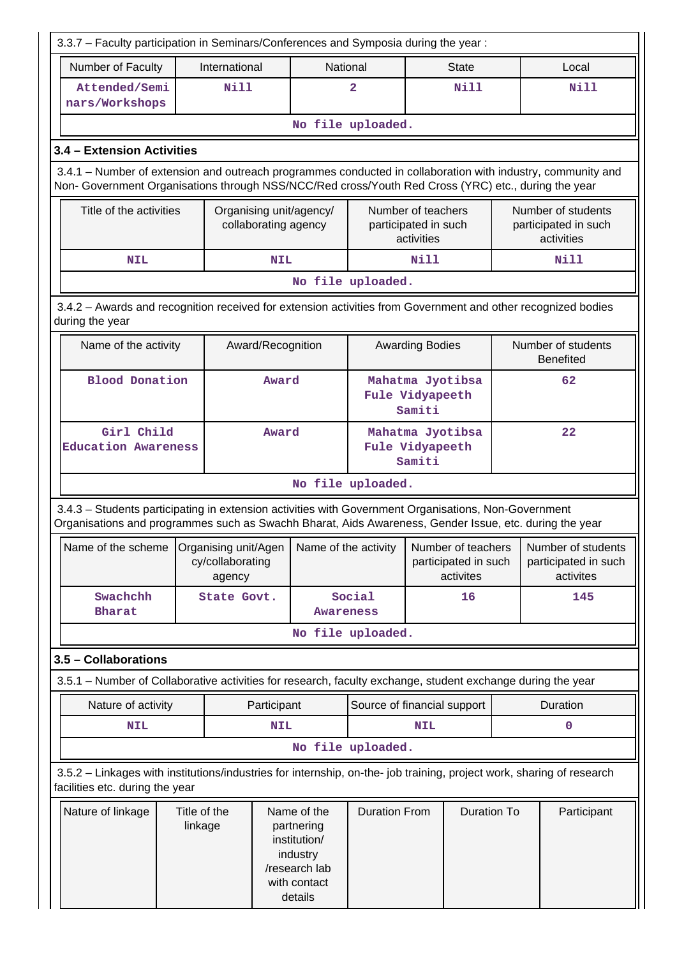| 3.3.7 - Faculty participation in Seminars/Conferences and Symposia during the year:                                                                                                                                |  |                                                    |                      |                                                                                                   |                                                          |                        |                                                         |     |                                                          |
|--------------------------------------------------------------------------------------------------------------------------------------------------------------------------------------------------------------------|--|----------------------------------------------------|----------------------|---------------------------------------------------------------------------------------------------|----------------------------------------------------------|------------------------|---------------------------------------------------------|-----|----------------------------------------------------------|
| Number of Faculty                                                                                                                                                                                                  |  | International                                      |                      | National                                                                                          |                                                          |                        | <b>State</b>                                            |     | Local                                                    |
| Attended/Semi<br>nars/Workshops                                                                                                                                                                                    |  | <b>Nill</b>                                        |                      |                                                                                                   | $\overline{a}$                                           |                        | <b>Nill</b>                                             |     | Nill                                                     |
|                                                                                                                                                                                                                    |  |                                                    |                      |                                                                                                   | No file uploaded.                                        |                        |                                                         |     |                                                          |
| 3.4 - Extension Activities                                                                                                                                                                                         |  |                                                    |                      |                                                                                                   |                                                          |                        |                                                         |     |                                                          |
| 3.4.1 – Number of extension and outreach programmes conducted in collaboration with industry, community and<br>Non- Government Organisations through NSS/NCC/Red cross/Youth Red Cross (YRC) etc., during the year |  |                                                    |                      |                                                                                                   |                                                          |                        |                                                         |     |                                                          |
| Title of the activities                                                                                                                                                                                            |  |                                                    |                      | Organising unit/agency/<br>collaborating agency                                                   | Number of teachers<br>participated in such<br>activities |                        |                                                         |     | Number of students<br>participated in such<br>activities |
| <b>NIL</b><br><b>NIL</b>                                                                                                                                                                                           |  |                                                    |                      |                                                                                                   |                                                          | Nill                   |                                                         |     | Nill                                                     |
|                                                                                                                                                                                                                    |  |                                                    |                      |                                                                                                   | No file uploaded.                                        |                        |                                                         |     |                                                          |
| 3.4.2 - Awards and recognition received for extension activities from Government and other recognized bodies<br>during the year                                                                                    |  |                                                    |                      |                                                                                                   |                                                          |                        |                                                         |     |                                                          |
| Name of the activity                                                                                                                                                                                               |  |                                                    | Award/Recognition    |                                                                                                   |                                                          | <b>Awarding Bodies</b> |                                                         |     | Number of students<br><b>Benefited</b>                   |
| <b>Blood Donation</b>                                                                                                                                                                                              |  | Award                                              |                      | Mahatma Jyotibsa<br>Fule Vidyapeeth<br>Samiti                                                     |                                                          |                        | 62                                                      |     |                                                          |
| Girl Child<br><b>Education Awareness</b>                                                                                                                                                                           |  | Award                                              |                      | Mahatma Jyotibsa<br>Fule Vidyapeeth<br>Samiti                                                     |                                                          |                        |                                                         | 22  |                                                          |
|                                                                                                                                                                                                                    |  |                                                    |                      |                                                                                                   | No file uploaded.                                        |                        |                                                         |     |                                                          |
| 3.4.3 - Students participating in extension activities with Government Organisations, Non-Government<br>Organisations and programmes such as Swachh Bharat, Aids Awareness, Gender Issue, etc. during the year     |  |                                                    |                      |                                                                                                   |                                                          |                        |                                                         |     |                                                          |
| Name of the scheme                                                                                                                                                                                                 |  | Organising unit/Agen<br>cy/collaborating<br>agency | Name of the activity |                                                                                                   | Number of teachers<br>participated in such<br>activites  |                        | Number of students<br>participated in such<br>activites |     |                                                          |
| Swachchh<br><b>Bharat</b>                                                                                                                                                                                          |  | State Govt.                                        |                      | Awareness                                                                                         | Social<br>16                                             |                        |                                                         | 145 |                                                          |
|                                                                                                                                                                                                                    |  |                                                    |                      |                                                                                                   | No file uploaded.                                        |                        |                                                         |     |                                                          |
| 3.5 - Collaborations                                                                                                                                                                                               |  |                                                    |                      |                                                                                                   |                                                          |                        |                                                         |     |                                                          |
| 3.5.1 – Number of Collaborative activities for research, faculty exchange, student exchange during the year                                                                                                        |  |                                                    |                      |                                                                                                   |                                                          |                        |                                                         |     |                                                          |
| Nature of activity                                                                                                                                                                                                 |  |                                                    | Participant          |                                                                                                   | Source of financial support                              |                        |                                                         |     | Duration                                                 |
| <b>NIL</b>                                                                                                                                                                                                         |  |                                                    | <b>NIL</b>           |                                                                                                   |                                                          | <b>NIL</b>             |                                                         |     | 0                                                        |
|                                                                                                                                                                                                                    |  |                                                    |                      |                                                                                                   | No file uploaded.                                        |                        |                                                         |     |                                                          |
| 3.5.2 - Linkages with institutions/industries for internship, on-the- job training, project work, sharing of research<br>facilities etc. during the year                                                           |  |                                                    |                      |                                                                                                   |                                                          |                        |                                                         |     |                                                          |
| Title of the<br>Nature of linkage<br>linkage                                                                                                                                                                       |  |                                                    |                      | Name of the<br>partnering<br>institution/<br>industry<br>/research lab<br>with contact<br>details | <b>Duration From</b>                                     |                        | <b>Duration To</b>                                      |     | Participant                                              |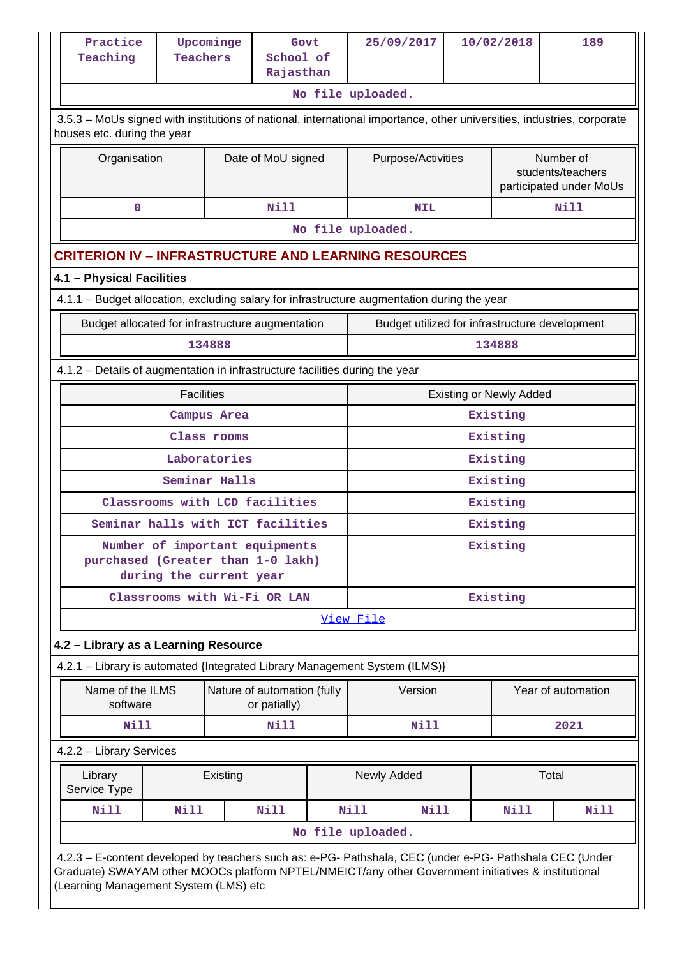| Practice<br>Teaching                                                                                                                                                                                                                                    | <b>Teachers</b>         | Upcominge     | Govt<br>School of<br>Rajasthan              |                   |                                | 25/09/2017                                     | 10/02/2018 |                                                           |                    | 189         |
|---------------------------------------------------------------------------------------------------------------------------------------------------------------------------------------------------------------------------------------------------------|-------------------------|---------------|---------------------------------------------|-------------------|--------------------------------|------------------------------------------------|------------|-----------------------------------------------------------|--------------------|-------------|
|                                                                                                                                                                                                                                                         |                         |               |                                             | No file uploaded. |                                |                                                |            |                                                           |                    |             |
| 3.5.3 – MoUs signed with institutions of national, international importance, other universities, industries, corporate<br>houses etc. during the year                                                                                                   |                         |               |                                             |                   |                                |                                                |            |                                                           |                    |             |
| Organisation                                                                                                                                                                                                                                            |                         |               | Date of MoU signed                          |                   |                                | Purpose/Activities                             |            | Number of<br>students/teachers<br>participated under MoUs |                    |             |
| $\mathbf 0$                                                                                                                                                                                                                                             |                         |               | <b>Nill</b>                                 |                   | <b>NIL</b>                     |                                                |            |                                                           | <b>Nill</b>        |             |
|                                                                                                                                                                                                                                                         |                         |               |                                             | No file uploaded. |                                |                                                |            |                                                           |                    |             |
| <b>CRITERION IV – INFRASTRUCTURE AND LEARNING RESOURCES</b>                                                                                                                                                                                             |                         |               |                                             |                   |                                |                                                |            |                                                           |                    |             |
| 4.1 - Physical Facilities                                                                                                                                                                                                                               |                         |               |                                             |                   |                                |                                                |            |                                                           |                    |             |
| 4.1.1 - Budget allocation, excluding salary for infrastructure augmentation during the year                                                                                                                                                             |                         |               |                                             |                   |                                |                                                |            |                                                           |                    |             |
| Budget allocated for infrastructure augmentation                                                                                                                                                                                                        |                         |               |                                             |                   |                                | Budget utilized for infrastructure development |            |                                                           |                    |             |
|                                                                                                                                                                                                                                                         |                         | 134888        |                                             |                   |                                |                                                |            | 134888                                                    |                    |             |
| 4.1.2 - Details of augmentation in infrastructure facilities during the year                                                                                                                                                                            |                         |               |                                             |                   |                                |                                                |            |                                                           |                    |             |
|                                                                                                                                                                                                                                                         | <b>Facilities</b>       |               |                                             |                   | <b>Existing or Newly Added</b> |                                                |            |                                                           |                    |             |
|                                                                                                                                                                                                                                                         | Campus Area             |               |                                             |                   |                                | Existing                                       |            |                                                           |                    |             |
|                                                                                                                                                                                                                                                         | Class rooms             |               |                                             |                   |                                |                                                |            | Existing                                                  |                    |             |
|                                                                                                                                                                                                                                                         | Laboratories            |               |                                             |                   |                                |                                                |            | Existing                                                  |                    |             |
|                                                                                                                                                                                                                                                         |                         | Seminar Halls |                                             |                   |                                |                                                |            | Existing                                                  |                    |             |
|                                                                                                                                                                                                                                                         |                         |               | Classrooms with LCD facilities              |                   |                                |                                                |            | Existing                                                  |                    |             |
| Seminar halls with ICT facilities                                                                                                                                                                                                                       |                         |               |                                             |                   | Existing                       |                                                |            |                                                           |                    |             |
| purchased (Greater than 1-0 lakh)                                                                                                                                                                                                                       | during the current year |               | Number of important equipments              |                   | Existing                       |                                                |            |                                                           |                    |             |
|                                                                                                                                                                                                                                                         |                         |               | Classrooms with Wi-Fi OR LAN                |                   | Existing                       |                                                |            |                                                           |                    |             |
|                                                                                                                                                                                                                                                         |                         |               |                                             |                   | View File                      |                                                |            |                                                           |                    |             |
| 4.2 - Library as a Learning Resource                                                                                                                                                                                                                    |                         |               |                                             |                   |                                |                                                |            |                                                           |                    |             |
| 4.2.1 - Library is automated {Integrated Library Management System (ILMS)}                                                                                                                                                                              |                         |               |                                             |                   |                                |                                                |            |                                                           |                    |             |
| Name of the ILMS<br>software                                                                                                                                                                                                                            |                         |               | Nature of automation (fully<br>or patially) |                   |                                | Version                                        |            |                                                           | Year of automation |             |
| Nill                                                                                                                                                                                                                                                    |                         |               | Nill                                        |                   |                                | <b>Nill</b>                                    |            |                                                           | 2021               |             |
| 4.2.2 - Library Services                                                                                                                                                                                                                                |                         |               |                                             |                   |                                |                                                |            |                                                           |                    |             |
| Library<br>Service Type                                                                                                                                                                                                                                 |                         | Existing      |                                             |                   |                                | Newly Added                                    |            |                                                           | Total              |             |
| Nill                                                                                                                                                                                                                                                    | Nill                    |               | <b>Nill</b>                                 |                   | Nill                           | <b>Nill</b>                                    |            | Nill                                                      |                    | <b>Nill</b> |
|                                                                                                                                                                                                                                                         |                         |               |                                             | No file uploaded. |                                |                                                |            |                                                           |                    |             |
| 4.2.3 - E-content developed by teachers such as: e-PG- Pathshala, CEC (under e-PG- Pathshala CEC (Under<br>Graduate) SWAYAM other MOOCs platform NPTEL/NMEICT/any other Government initiatives & institutional<br>(Learning Management System (LMS) etc |                         |               |                                             |                   |                                |                                                |            |                                                           |                    |             |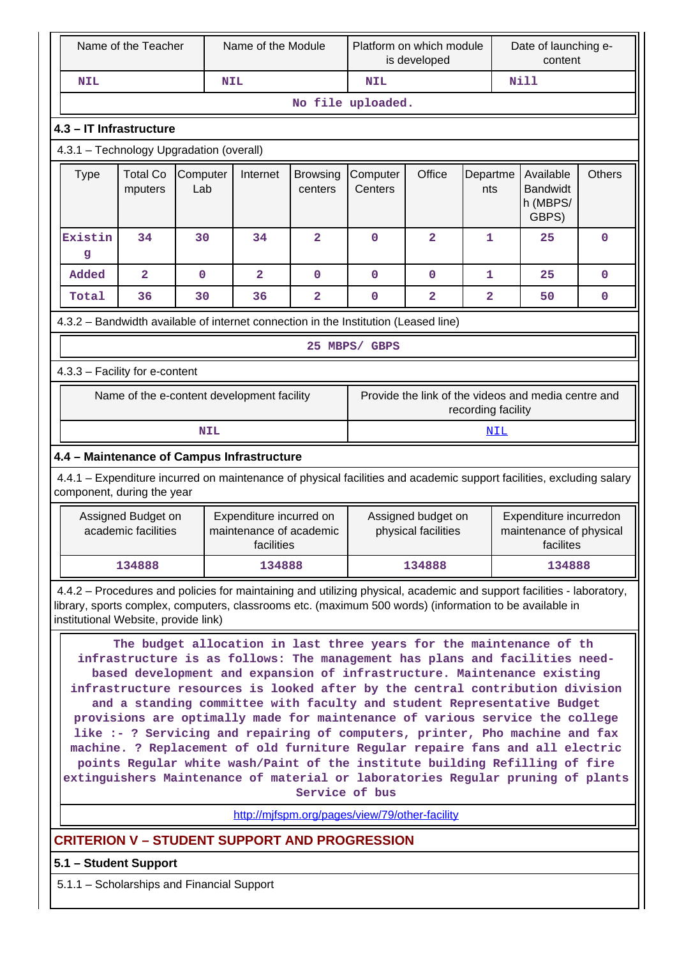| Name of the Teacher                                                                                                                                                                                                                                                                                                                                                                                                                                                                                                                                                                                                                                                                                                                                                                                                                                                              |                                                                                                                                                                                                                                                                          |                 | Name of the Module |                                                                           |                            | Platform on which module<br>is developed                                                                    |                                    |                |     | Date of launching e-<br>content          |               |  |
|----------------------------------------------------------------------------------------------------------------------------------------------------------------------------------------------------------------------------------------------------------------------------------------------------------------------------------------------------------------------------------------------------------------------------------------------------------------------------------------------------------------------------------------------------------------------------------------------------------------------------------------------------------------------------------------------------------------------------------------------------------------------------------------------------------------------------------------------------------------------------------|--------------------------------------------------------------------------------------------------------------------------------------------------------------------------------------------------------------------------------------------------------------------------|-----------------|--------------------|---------------------------------------------------------------------------|----------------------------|-------------------------------------------------------------------------------------------------------------|------------------------------------|----------------|-----|------------------------------------------|---------------|--|
| <b>NIL</b>                                                                                                                                                                                                                                                                                                                                                                                                                                                                                                                                                                                                                                                                                                                                                                                                                                                                       |                                                                                                                                                                                                                                                                          |                 | <b>NIL</b>         |                                                                           |                            | <b>NIL</b>                                                                                                  |                                    |                |     | <b>Nill</b>                              |               |  |
|                                                                                                                                                                                                                                                                                                                                                                                                                                                                                                                                                                                                                                                                                                                                                                                                                                                                                  |                                                                                                                                                                                                                                                                          |                 |                    |                                                                           |                            | No file uploaded.                                                                                           |                                    |                |     |                                          |               |  |
|                                                                                                                                                                                                                                                                                                                                                                                                                                                                                                                                                                                                                                                                                                                                                                                                                                                                                  | 4.3 - IT Infrastructure                                                                                                                                                                                                                                                  |                 |                    |                                                                           |                            |                                                                                                             |                                    |                |     |                                          |               |  |
|                                                                                                                                                                                                                                                                                                                                                                                                                                                                                                                                                                                                                                                                                                                                                                                                                                                                                  | 4.3.1 - Technology Upgradation (overall)                                                                                                                                                                                                                                 |                 |                    |                                                                           |                            |                                                                                                             |                                    |                |     |                                          |               |  |
| <b>Type</b>                                                                                                                                                                                                                                                                                                                                                                                                                                                                                                                                                                                                                                                                                                                                                                                                                                                                      | <b>Total Co</b><br>mputers                                                                                                                                                                                                                                               | Computer<br>Lab |                    | Internet                                                                  | <b>Browsing</b><br>centers | Computer<br>Centers                                                                                         | Office<br>Departme<br>nts<br>GBPS) |                |     | Available<br><b>Bandwidt</b><br>h (MBPS/ | <b>Others</b> |  |
| Existin<br>g                                                                                                                                                                                                                                                                                                                                                                                                                                                                                                                                                                                                                                                                                                                                                                                                                                                                     | 34                                                                                                                                                                                                                                                                       | 30              |                    | 34                                                                        | $\overline{\mathbf{2}}$    | $\mathbf 0$                                                                                                 | $\overline{\mathbf{2}}$            | $\mathbf{1}$   |     | 25                                       | $\mathbf 0$   |  |
| Added                                                                                                                                                                                                                                                                                                                                                                                                                                                                                                                                                                                                                                                                                                                                                                                                                                                                            | $\overline{2}$                                                                                                                                                                                                                                                           | $\mathbf 0$     |                    | $\overline{\mathbf{2}}$                                                   | $\mathbf 0$                | $\mathbf 0$                                                                                                 | $\mathbf 0$                        | 1              |     | 25                                       | 0             |  |
| Total                                                                                                                                                                                                                                                                                                                                                                                                                                                                                                                                                                                                                                                                                                                                                                                                                                                                            | 36                                                                                                                                                                                                                                                                       | 30              |                    | 36                                                                        | 2                          | $\mathbf 0$                                                                                                 | $\overline{2}$                     | $\overline{2}$ |     | 50                                       | 0             |  |
| 4.3.2 - Bandwidth available of internet connection in the Institution (Leased line)                                                                                                                                                                                                                                                                                                                                                                                                                                                                                                                                                                                                                                                                                                                                                                                              |                                                                                                                                                                                                                                                                          |                 |                    |                                                                           |                            |                                                                                                             |                                    |                |     |                                          |               |  |
| 25 MBPS/ GBPS                                                                                                                                                                                                                                                                                                                                                                                                                                                                                                                                                                                                                                                                                                                                                                                                                                                                    |                                                                                                                                                                                                                                                                          |                 |                    |                                                                           |                            |                                                                                                             |                                    |                |     |                                          |               |  |
|                                                                                                                                                                                                                                                                                                                                                                                                                                                                                                                                                                                                                                                                                                                                                                                                                                                                                  | 4.3.3 - Facility for e-content                                                                                                                                                                                                                                           |                 |                    |                                                                           |                            |                                                                                                             |                                    |                |     |                                          |               |  |
|                                                                                                                                                                                                                                                                                                                                                                                                                                                                                                                                                                                                                                                                                                                                                                                                                                                                                  | Name of the e-content development facility                                                                                                                                                                                                                               |                 |                    | Provide the link of the videos and media centre and<br>recording facility |                            |                                                                                                             |                                    |                |     |                                          |               |  |
|                                                                                                                                                                                                                                                                                                                                                                                                                                                                                                                                                                                                                                                                                                                                                                                                                                                                                  |                                                                                                                                                                                                                                                                          | <b>NIL</b>      |                    |                                                                           |                            |                                                                                                             |                                    |                | NIL |                                          |               |  |
|                                                                                                                                                                                                                                                                                                                                                                                                                                                                                                                                                                                                                                                                                                                                                                                                                                                                                  | 4.4 - Maintenance of Campus Infrastructure                                                                                                                                                                                                                               |                 |                    |                                                                           |                            |                                                                                                             |                                    |                |     |                                          |               |  |
|                                                                                                                                                                                                                                                                                                                                                                                                                                                                                                                                                                                                                                                                                                                                                                                                                                                                                  | 4.4.1 - Expenditure incurred on maintenance of physical facilities and academic support facilities, excluding salary<br>component, during the year                                                                                                                       |                 |                    |                                                                           |                            |                                                                                                             |                                    |                |     |                                          |               |  |
|                                                                                                                                                                                                                                                                                                                                                                                                                                                                                                                                                                                                                                                                                                                                                                                                                                                                                  | Assigned Budget on<br>academic facilities                                                                                                                                                                                                                                |                 |                    | Expenditure incurred on<br>maintenance of academic<br>facilities          |                            | Expenditure incurredon<br>Assigned budget on<br>physical facilities<br>maintenance of physical<br>facilites |                                    |                |     |                                          |               |  |
|                                                                                                                                                                                                                                                                                                                                                                                                                                                                                                                                                                                                                                                                                                                                                                                                                                                                                  | 134888                                                                                                                                                                                                                                                                   |                 |                    | 134888                                                                    |                            |                                                                                                             | 134888                             |                |     | 134888                                   |               |  |
|                                                                                                                                                                                                                                                                                                                                                                                                                                                                                                                                                                                                                                                                                                                                                                                                                                                                                  | 4.4.2 - Procedures and policies for maintaining and utilizing physical, academic and support facilities - laboratory,<br>library, sports complex, computers, classrooms etc. (maximum 500 words) (information to be available in<br>institutional Website, provide link) |                 |                    |                                                                           |                            |                                                                                                             |                                    |                |     |                                          |               |  |
| The budget allocation in last three years for the maintenance of th<br>infrastructure is as follows: The management has plans and facilities need-<br>based development and expansion of infrastructure. Maintenance existing<br>infrastructure resources is looked after by the central contribution division<br>and a standing committee with faculty and student Representative Budget<br>provisions are optimally made for maintenance of various service the college<br>like :- ? Servicing and repairing of computers, printer, Pho machine and fax<br>machine. ? Replacement of old furniture Regular repaire fans and all electric<br>points Regular white wash/Paint of the institute building Refilling of fire<br>extinguishers Maintenance of material or laboratories Regular pruning of plants<br>Service of bus<br>http://mifspm.org/pages/view/79/other-facility |                                                                                                                                                                                                                                                                          |                 |                    |                                                                           |                            |                                                                                                             |                                    |                |     |                                          |               |  |
|                                                                                                                                                                                                                                                                                                                                                                                                                                                                                                                                                                                                                                                                                                                                                                                                                                                                                  | <b>CRITERION V - STUDENT SUPPORT AND PROGRESSION</b>                                                                                                                                                                                                                     |                 |                    |                                                                           |                            |                                                                                                             |                                    |                |     |                                          |               |  |
|                                                                                                                                                                                                                                                                                                                                                                                                                                                                                                                                                                                                                                                                                                                                                                                                                                                                                  | 5.1 - Student Support                                                                                                                                                                                                                                                    |                 |                    |                                                                           |                            |                                                                                                             |                                    |                |     |                                          |               |  |
|                                                                                                                                                                                                                                                                                                                                                                                                                                                                                                                                                                                                                                                                                                                                                                                                                                                                                  | 5.1.1 - Scholarships and Financial Support                                                                                                                                                                                                                               |                 |                    |                                                                           |                            |                                                                                                             |                                    |                |     |                                          |               |  |
|                                                                                                                                                                                                                                                                                                                                                                                                                                                                                                                                                                                                                                                                                                                                                                                                                                                                                  |                                                                                                                                                                                                                                                                          |                 |                    |                                                                           |                            |                                                                                                             |                                    |                |     |                                          |               |  |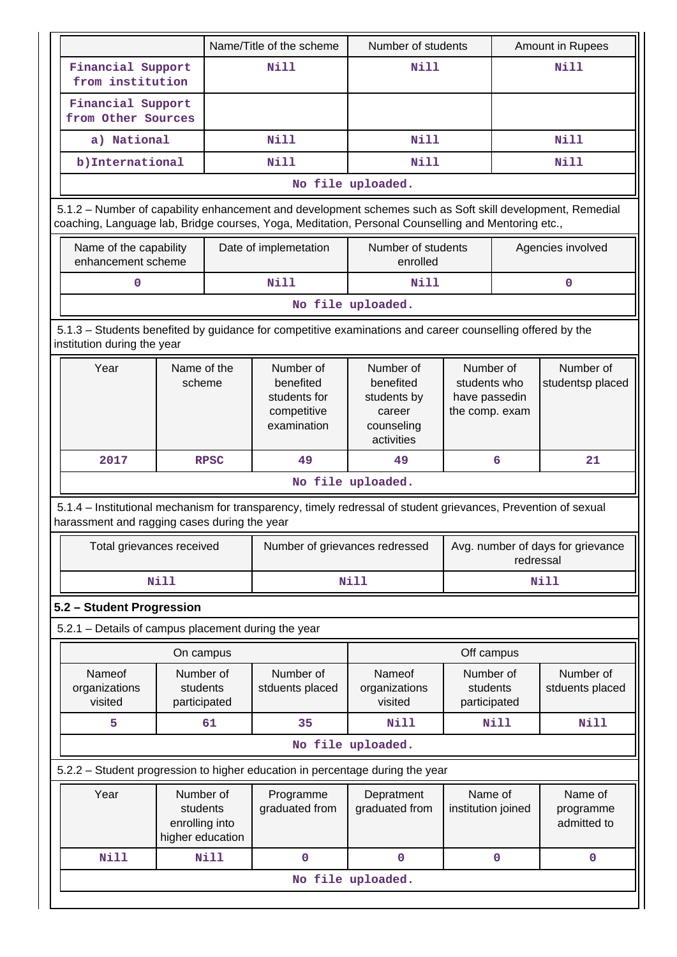|                                                     |                                                             |             | Name/Title of the scheme                                             | Number of students                                                                                                                                                                                              | Amount in Rupees                                             |      |                                     |  |  |
|-----------------------------------------------------|-------------------------------------------------------------|-------------|----------------------------------------------------------------------|-----------------------------------------------------------------------------------------------------------------------------------------------------------------------------------------------------------------|--------------------------------------------------------------|------|-------------------------------------|--|--|
| Financial Support<br>from institution               |                                                             |             | Nill                                                                 | Nill                                                                                                                                                                                                            |                                                              |      | Nill                                |  |  |
| Financial Support<br>from Other Sources             |                                                             |             |                                                                      |                                                                                                                                                                                                                 |                                                              |      |                                     |  |  |
| a) National                                         |                                                             |             | Nill                                                                 | Nill                                                                                                                                                                                                            |                                                              |      | Nill                                |  |  |
| b) International                                    |                                                             | <b>Nill</b> |                                                                      | Nill                                                                                                                                                                                                            |                                                              | Nill |                                     |  |  |
|                                                     |                                                             |             |                                                                      | No file uploaded.                                                                                                                                                                                               |                                                              |      |                                     |  |  |
|                                                     |                                                             |             |                                                                      | 5.1.2 - Number of capability enhancement and development schemes such as Soft skill development, Remedial<br>coaching, Language lab, Bridge courses, Yoga, Meditation, Personal Counselling and Mentoring etc., |                                                              |      |                                     |  |  |
| Name of the capability<br>enhancement scheme        |                                                             |             | Date of implemetation                                                | Number of students<br>enrolled                                                                                                                                                                                  |                                                              |      | Agencies involved                   |  |  |
| $\mathbf 0$                                         |                                                             |             | Nill                                                                 | Nill                                                                                                                                                                                                            |                                                              |      | $\mathbf 0$                         |  |  |
|                                                     |                                                             |             |                                                                      | No file uploaded.                                                                                                                                                                                               |                                                              |      |                                     |  |  |
| institution during the year                         |                                                             |             |                                                                      | 5.1.3 – Students benefited by guidance for competitive examinations and career counselling offered by the                                                                                                       |                                                              |      |                                     |  |  |
| Year                                                | Name of the<br>scheme                                       |             | Number of<br>benefited<br>students for<br>competitive<br>examination | Number of<br>benefited<br>students by<br>career<br>counseling<br>activities                                                                                                                                     | Number of<br>students who<br>have passedin<br>the comp. exam |      | Number of<br>studentsp placed       |  |  |
| 2017<br><b>RPSC</b>                                 |                                                             | 49          | 49                                                                   | 6                                                                                                                                                                                                               |                                                              | 21   |                                     |  |  |
|                                                     |                                                             |             |                                                                      | No file uploaded.                                                                                                                                                                                               |                                                              |      |                                     |  |  |
| harassment and ragging cases during the year        |                                                             |             |                                                                      | 5.1.4 – Institutional mechanism for transparency, timely redressal of student grievances, Prevention of sexual                                                                                                  |                                                              |      |                                     |  |  |
| Total grievances received                           |                                                             |             | Number of grievances redressed                                       | Avg. number of days for grievance<br>redressal                                                                                                                                                                  |                                                              |      |                                     |  |  |
|                                                     | <b>Nill</b>                                                 |             |                                                                      | <b>Nill</b>                                                                                                                                                                                                     |                                                              |      | <b>Nill</b>                         |  |  |
| 5.2 - Student Progression                           |                                                             |             |                                                                      |                                                                                                                                                                                                                 |                                                              |      |                                     |  |  |
| 5.2.1 - Details of campus placement during the year |                                                             |             |                                                                      |                                                                                                                                                                                                                 |                                                              |      |                                     |  |  |
|                                                     | On campus                                                   |             |                                                                      |                                                                                                                                                                                                                 | Off campus                                                   |      |                                     |  |  |
| Nameof<br>organizations<br>visited                  | Number of<br>students<br>participated                       |             | Number of<br>stduents placed                                         | Nameof<br>organizations<br>visited                                                                                                                                                                              | Number of<br>students<br>participated                        |      | Number of<br>stduents placed        |  |  |
| 5                                                   |                                                             | 61          | 35                                                                   | Nill                                                                                                                                                                                                            | Nill                                                         |      | Nill                                |  |  |
|                                                     |                                                             |             |                                                                      | No file uploaded.                                                                                                                                                                                               |                                                              |      |                                     |  |  |
|                                                     |                                                             |             |                                                                      | 5.2.2 - Student progression to higher education in percentage during the year                                                                                                                                   |                                                              |      |                                     |  |  |
| Year                                                | Number of<br>students<br>enrolling into<br>higher education |             | Programme<br>graduated from                                          | Depratment<br>graduated from                                                                                                                                                                                    | Name of<br>institution joined                                |      | Name of<br>programme<br>admitted to |  |  |
| <b>Nill</b>                                         |                                                             |             | 0                                                                    | $\pmb{0}$                                                                                                                                                                                                       |                                                              |      | $\mathbf 0$                         |  |  |
| <b>Nill</b><br>0                                    |                                                             |             |                                                                      |                                                                                                                                                                                                                 |                                                              |      |                                     |  |  |
|                                                     |                                                             |             |                                                                      | No file uploaded.                                                                                                                                                                                               |                                                              |      |                                     |  |  |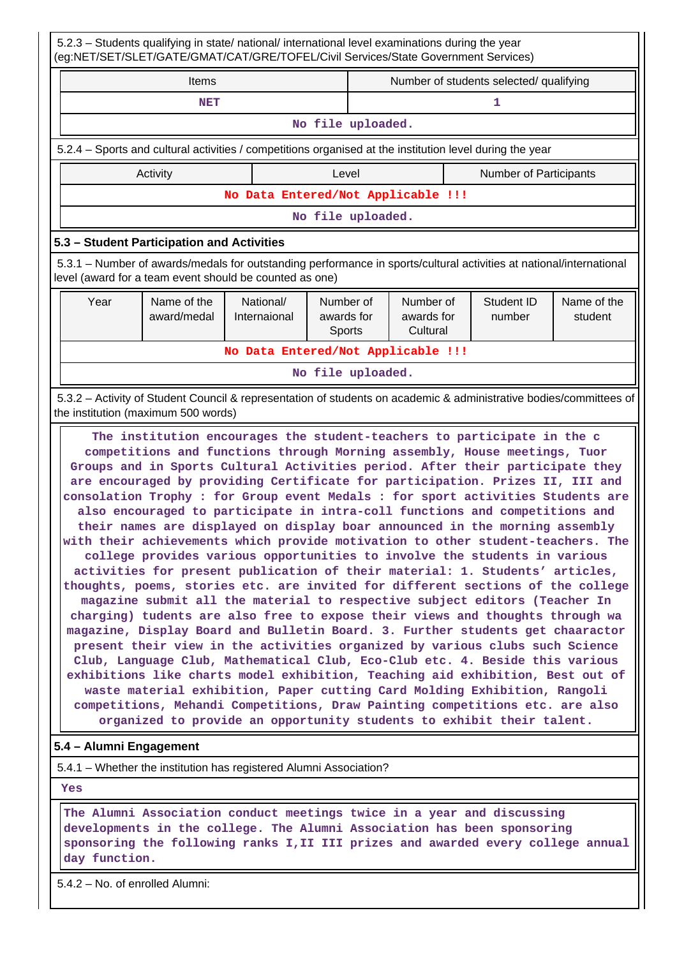5.2.3 – Students qualifying in state/ national/ international level examinations during the year (eg:NET/SET/SLET/GATE/GMAT/CAT/GRE/TOFEL/Civil Services/State Government Services) Items **Number of students selected/ qualifying NET** 1 **No file uploaded.** 5.2.4 – Sports and cultural activities / competitions organised at the institution level during the year Activity **Activity Level** Level **Number of Participants No Data Entered/Not Applicable !!! No file uploaded. 5.3 – Student Participation and Activities** 5.3.1 – Number of awards/medals for outstanding performance in sports/cultural activities at national/international level (award for a team event should be counted as one) Year | Name of the award/medal National/ Internaional Number of awards for Sports Number of awards for **Cultural** Student ID number Name of the student **No Data Entered/Not Applicable !!! No file uploaded.** 5.3.2 – Activity of Student Council & representation of students on academic & administrative bodies/committees of the institution (maximum 500 words) **The institution encourages the student-teachers to participate in the c competitions and functions through Morning assembly, House meetings, Tuor Groups and in Sports Cultural Activities period. After their participate they are encouraged by providing Certificate for participation. Prizes II, III and consolation Trophy : for Group event Medals : for sport activities Students are also encouraged to participate in intra-coll functions and competitions and their names are displayed on display boar announced in the morning assembly with their achievements which provide motivation to other student-teachers. The college provides various opportunities to involve the students in various activities for present publication of their material: 1. Students' articles, thoughts, poems, stories etc. are invited for different sections of the college magazine submit all the material to respective subject editors (Teacher In charging) tudents are also free to expose their views and thoughts through wa magazine, Display Board and Bulletin Board. 3. Further students get chaaractor present their view in the activities organized by various clubs such Science**

**Club, Language Club, Mathematical Club, Eco-Club etc. 4. Beside this various exhibitions like charts model exhibition, Teaching aid exhibition, Best out of waste material exhibition, Paper cutting Card Molding Exhibition, Rangoli competitions, Mehandi Competitions, Draw Painting competitions etc. are also organized to provide an opportunity students to exhibit their talent.**

#### **5.4 – Alumni Engagement**

5.4.1 – Whether the institution has registered Alumni Association?

 **Yes**

 **The Alumni Association conduct meetings twice in a year and discussing developments in the college. The Alumni Association has been sponsoring sponsoring the following ranks I,II III prizes and awarded every college annual day function.**

5.4.2 – No. of enrolled Alumni: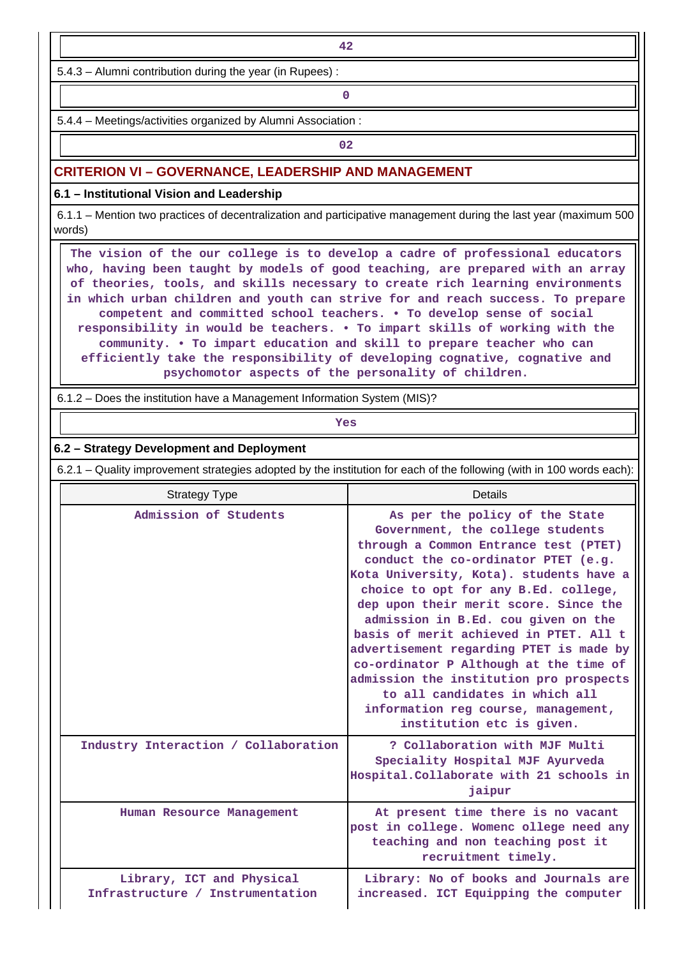5.4.3 – Alumni contribution during the year (in Rupees) :

**0**

5.4.4 – Meetings/activities organized by Alumni Association :

**02**

#### **CRITERION VI – GOVERNANCE, LEADERSHIP AND MANAGEMENT**

**6.1 – Institutional Vision and Leadership**

 6.1.1 – Mention two practices of decentralization and participative management during the last year (maximum 500 words)

 **The vision of the our college is to develop a cadre of professional educators who, having been taught by models of good teaching, are prepared with an array of theories, tools, and skills necessary to create rich learning environments in which urban children and youth can strive for and reach success. To prepare competent and committed school teachers. • To develop sense of social responsibility in would be teachers. • To impart skills of working with the community. • To impart education and skill to prepare teacher who can efficiently take the responsibility of developing cognative, cognative and psychomotor aspects of the personality of children.**

6.1.2 – Does the institution have a Management Information System (MIS)?

*Yes* 

#### **6.2 – Strategy Development and Deployment**

6.2.1 – Quality improvement strategies adopted by the institution for each of the following (with in 100 words each):

| <b>Strategy Type</b>                                          | Details                                                                                                                                                                                                                                                                                                                                                                                                                                                                                                                                                                                               |  |  |  |  |
|---------------------------------------------------------------|-------------------------------------------------------------------------------------------------------------------------------------------------------------------------------------------------------------------------------------------------------------------------------------------------------------------------------------------------------------------------------------------------------------------------------------------------------------------------------------------------------------------------------------------------------------------------------------------------------|--|--|--|--|
| Admission of Students                                         | As per the policy of the State<br>Government, the college students<br>through a Common Entrance test (PTET)<br>conduct the co-ordinator PTET (e.g.<br>Kota University, Kota). students have a<br>choice to opt for any B.Ed. college,<br>dep upon their merit score. Since the<br>admission in B.Ed. cou given on the<br>basis of merit achieved in PTET. All t<br>advertisement regarding PTET is made by<br>co-ordinator P Although at the time of<br>admission the institution pro prospects<br>to all candidates in which all<br>information reg course, management,<br>institution etc is given. |  |  |  |  |
| Industry Interaction / Collaboration                          | ? Collaboration with MJF Multi<br>Speciality Hospital MJF Ayurveda<br>Hospital. Collaborate with 21 schools in<br>jaipur                                                                                                                                                                                                                                                                                                                                                                                                                                                                              |  |  |  |  |
| Human Resource Management                                     | At present time there is no vacant<br>post in college. Womenc ollege need any<br>teaching and non teaching post it<br>recruitment timely.                                                                                                                                                                                                                                                                                                                                                                                                                                                             |  |  |  |  |
| Library, ICT and Physical<br>Infrastructure / Instrumentation | Library: No of books and Journals are<br>increased. ICT Equipping the computer                                                                                                                                                                                                                                                                                                                                                                                                                                                                                                                        |  |  |  |  |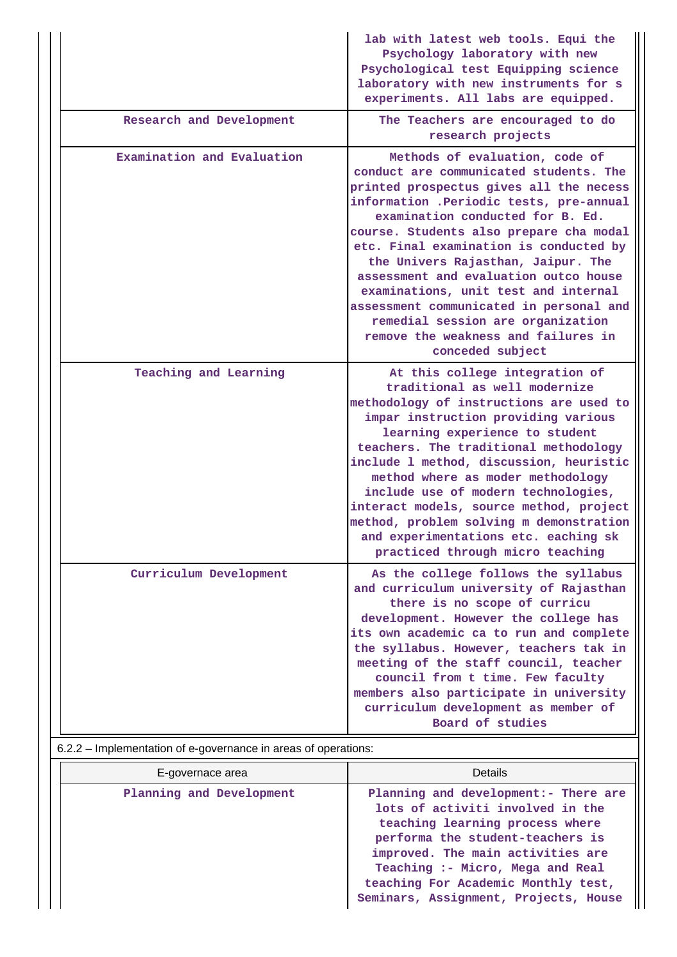|                            | lab with latest web tools. Equi the<br>Psychology laboratory with new<br>Psychological test Equipping science<br>laboratory with new instruments for s<br>experiments. All labs are equipped.                                                                                                                                                                                                                                                                                                                                                             |
|----------------------------|-----------------------------------------------------------------------------------------------------------------------------------------------------------------------------------------------------------------------------------------------------------------------------------------------------------------------------------------------------------------------------------------------------------------------------------------------------------------------------------------------------------------------------------------------------------|
| Research and Development   | The Teachers are encouraged to do<br>research projects                                                                                                                                                                                                                                                                                                                                                                                                                                                                                                    |
| Examination and Evaluation | Methods of evaluation, code of<br>conduct are communicated students. The<br>printed prospectus gives all the necess<br>information .Periodic tests, pre-annual<br>examination conducted for B. Ed.<br>course. Students also prepare cha modal<br>etc. Final examination is conducted by<br>the Univers Rajasthan, Jaipur. The<br>assessment and evaluation outco house<br>examinations, unit test and internal<br>assessment communicated in personal and<br>remedial session are organization<br>remove the weakness and failures in<br>conceded subject |
| Teaching and Learning      | At this college integration of<br>traditional as well modernize<br>methodology of instructions are used to<br>impar instruction providing various<br>learning experience to student<br>teachers. The traditional methodology<br>include 1 method, discussion, heuristic<br>method where as moder methodology<br>include use of modern technologies,<br>interact models, source method, project<br>method, problem solving m demonstration<br>and experimentations etc. eaching sk<br>practiced through micro teaching                                     |
| Curriculum Development     | As the college follows the syllabus<br>and curriculum university of Rajasthan<br>there is no scope of curricu<br>development. However the college has<br>its own academic ca to run and complete<br>the syllabus. However, teachers tak in<br>meeting of the staff council, teacher<br>council from t time. Few faculty<br>members also participate in university<br>curriculum development as member of<br>Board of studies                                                                                                                              |

6.2.2 – Implementation of e-governance in areas of operations:

| E-governace area         | Details                                                                                                                                                                                                                                                                                                   |
|--------------------------|-----------------------------------------------------------------------------------------------------------------------------------------------------------------------------------------------------------------------------------------------------------------------------------------------------------|
| Planning and Development | Planning and development: - There are<br>lots of activiti involved in the<br>teaching learning process where<br>performa the student-teachers is<br>improved. The main activities are<br>Teaching :- Micro, Mega and Real<br>teaching For Academic Monthly test,<br>Seminars, Assignment, Projects, House |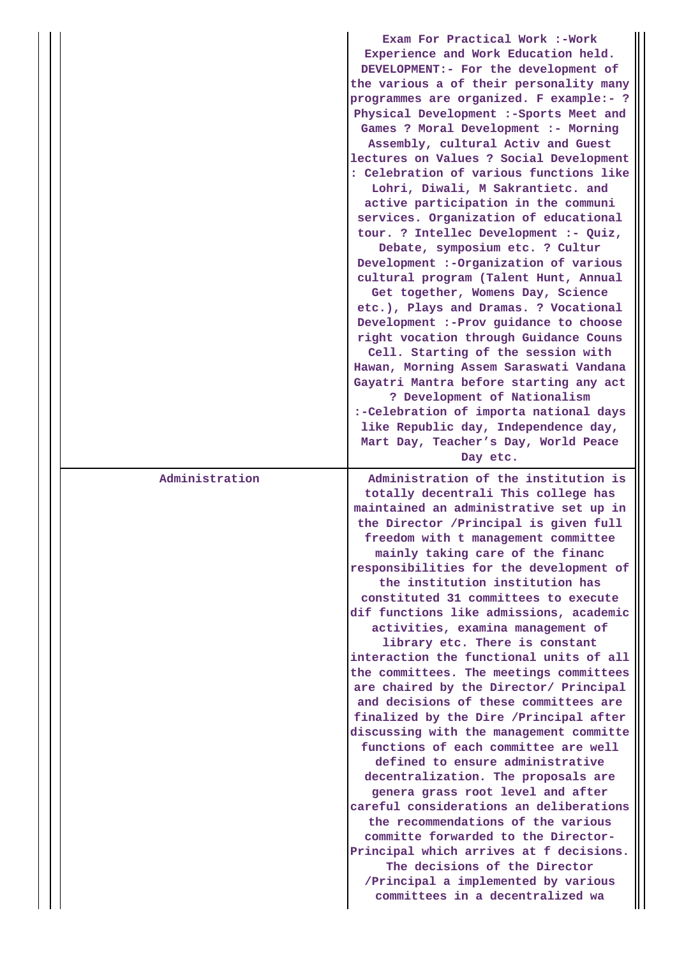|                | Exam For Practical Work :-Work<br>Experience and Work Education held.<br>DEVELOPMENT:- For the development of<br>the various a of their personality many<br>programmes are organized. F example:- ?<br>Physical Development :- Sports Meet and<br>Games ? Moral Development :- Morning<br>Assembly, cultural Activ and Guest<br>lectures on Values ? Social Development<br>: Celebration of various functions like<br>Lohri, Diwali, M Sakrantietc. and<br>active participation in the communi<br>services. Organization of educational<br>tour. ? Intellec Development :- Quiz,<br>Debate, symposium etc. ? Cultur<br>Development :- Organization of various<br>cultural program (Talent Hunt, Annual<br>Get together, Womens Day, Science<br>etc.), Plays and Dramas. ? Vocational<br>Development :- Prov guidance to choose<br>right vocation through Guidance Couns<br>Cell. Starting of the session with<br>Hawan, Morning Assem Saraswati Vandana<br>Gayatri Mantra before starting any act<br>? Development of Nationalism<br>:-Celebration of importa national days<br>like Republic day, Independence day,<br>Mart Day, Teacher's Day, World Peace<br>Day etc.                 |
|----------------|-----------------------------------------------------------------------------------------------------------------------------------------------------------------------------------------------------------------------------------------------------------------------------------------------------------------------------------------------------------------------------------------------------------------------------------------------------------------------------------------------------------------------------------------------------------------------------------------------------------------------------------------------------------------------------------------------------------------------------------------------------------------------------------------------------------------------------------------------------------------------------------------------------------------------------------------------------------------------------------------------------------------------------------------------------------------------------------------------------------------------------------------------------------------------------------------|
| Administration | Administration of the institution is<br>totally decentrali This college has<br>maintained an administrative set up in<br>the Director / Principal is given full<br>freedom with t management committee<br>mainly taking care of the financ<br>responsibilities for the development of<br>the institution institution has<br>constituted 31 committees to execute<br>dif functions like admissions, academic<br>activities, examina management of<br>library etc. There is constant<br>interaction the functional units of all<br>the committees. The meetings committees<br>are chaired by the Director/ Principal<br>and decisions of these committees are<br>finalized by the Dire /Principal after<br>discussing with the management committe<br>functions of each committee are well<br>defined to ensure administrative<br>decentralization. The proposals are<br>genera grass root level and after<br>careful considerations an deliberations<br>the recommendations of the various<br>committe forwarded to the Director-<br>Principal which arrives at f decisions.<br>The decisions of the Director<br>/Principal a implemented by various<br>committees in a decentralized wa |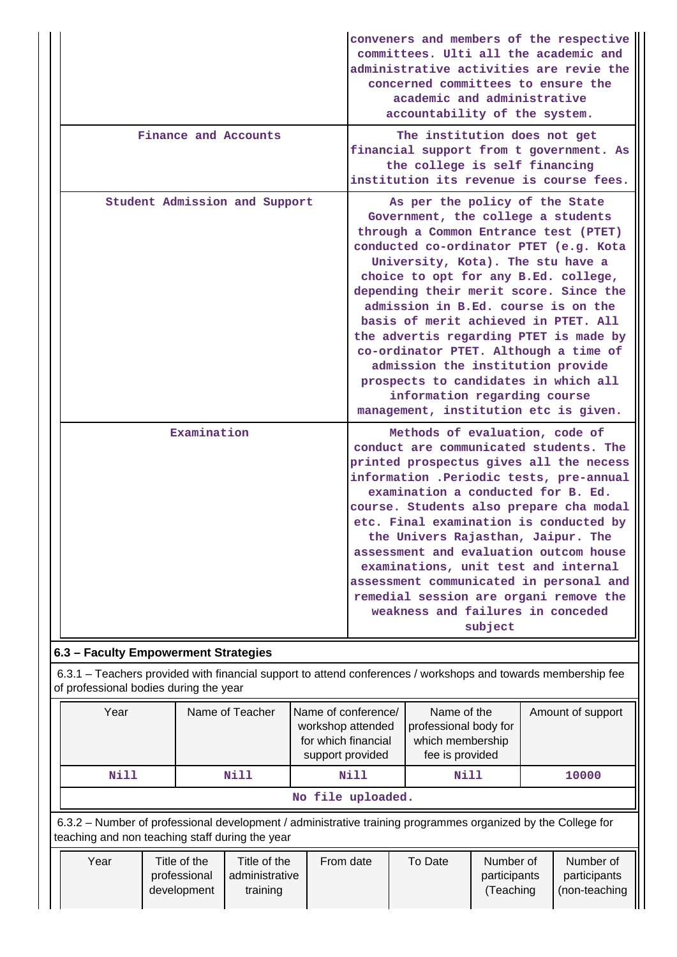|                                                                                                                                                                 |  |             |      |           |                                                                                                                                                                                         | conveners and members of the respective<br>committees. Ulti all the academic and<br>administrative activities are revie the<br>concerned committees to ensure the<br>academic and administrative<br>accountability of the system.                                                                                                                                                                                                                                                                                                                                                                      |                                                                                                                                                                                                                                                                                                                                                                                                                                                                                                                      |                                            |  |  |       |
|-----------------------------------------------------------------------------------------------------------------------------------------------------------------|--|-------------|------|-----------|-----------------------------------------------------------------------------------------------------------------------------------------------------------------------------------------|--------------------------------------------------------------------------------------------------------------------------------------------------------------------------------------------------------------------------------------------------------------------------------------------------------------------------------------------------------------------------------------------------------------------------------------------------------------------------------------------------------------------------------------------------------------------------------------------------------|----------------------------------------------------------------------------------------------------------------------------------------------------------------------------------------------------------------------------------------------------------------------------------------------------------------------------------------------------------------------------------------------------------------------------------------------------------------------------------------------------------------------|--------------------------------------------|--|--|-------|
| Finance and Accounts                                                                                                                                            |  |             |      |           | The institution does not get<br>financial support from t government. As<br>the college is self financing<br>institution its revenue is course fees.                                     |                                                                                                                                                                                                                                                                                                                                                                                                                                                                                                                                                                                                        |                                                                                                                                                                                                                                                                                                                                                                                                                                                                                                                      |                                            |  |  |       |
| Student Admission and Support                                                                                                                                   |  |             |      |           |                                                                                                                                                                                         | As per the policy of the State<br>Government, the college a students<br>through a Common Entrance test (PTET)<br>conducted co-ordinator PTET (e.g. Kota<br>University, Kota). The stu have a<br>choice to opt for any B.Ed. college,<br>depending their merit score. Since the<br>admission in B.Ed. course is on the<br>basis of merit achieved in PTET. All<br>the advertis regarding PTET is made by<br>co-ordinator PTET. Although a time of<br>admission the institution provide<br>prospects to candidates in which all<br>information regarding course<br>management, institution etc is given. |                                                                                                                                                                                                                                                                                                                                                                                                                                                                                                                      |                                            |  |  |       |
|                                                                                                                                                                 |  | Examination |      |           |                                                                                                                                                                                         | Methods of evaluation, code of                                                                                                                                                                                                                                                                                                                                                                                                                                                                                                                                                                         |                                                                                                                                                                                                                                                                                                                                                                                                                                                                                                                      |                                            |  |  |       |
|                                                                                                                                                                 |  |             |      |           |                                                                                                                                                                                         |                                                                                                                                                                                                                                                                                                                                                                                                                                                                                                                                                                                                        | conduct are communicated students. The<br>printed prospectus gives all the necess<br>information .Periodic tests, pre-annual<br>examination a conducted for B. Ed.<br>course. Students also prepare cha modal<br>etc. Final examination is conducted by<br>the Univers Rajasthan, Jaipur. The<br>assessment and evaluation outcom house<br>examinations, unit test and internal<br>assessment communicated in personal and<br>remedial session are organi remove the<br>weakness and failures in conceded<br>subject |                                            |  |  |       |
| 6.3 - Faculty Empowerment Strategies                                                                                                                            |  |             |      |           |                                                                                                                                                                                         |                                                                                                                                                                                                                                                                                                                                                                                                                                                                                                                                                                                                        |                                                                                                                                                                                                                                                                                                                                                                                                                                                                                                                      |                                            |  |  |       |
| 6.3.1 - Teachers provided with financial support to attend conferences / workshops and towards membership fee<br>of professional bodies during the year         |  |             |      |           |                                                                                                                                                                                         |                                                                                                                                                                                                                                                                                                                                                                                                                                                                                                                                                                                                        |                                                                                                                                                                                                                                                                                                                                                                                                                                                                                                                      |                                            |  |  |       |
| Year<br>Name of Teacher                                                                                                                                         |  |             |      |           | Name of conference/<br>Name of the<br>Amount of support<br>workshop attended<br>professional body for<br>for which financial<br>which membership<br>fee is provided<br>support provided |                                                                                                                                                                                                                                                                                                                                                                                                                                                                                                                                                                                                        |                                                                                                                                                                                                                                                                                                                                                                                                                                                                                                                      |                                            |  |  |       |
| <b>Nill</b>                                                                                                                                                     |  |             | Nill |           |                                                                                                                                                                                         | <b>Nill</b>                                                                                                                                                                                                                                                                                                                                                                                                                                                                                                                                                                                            |                                                                                                                                                                                                                                                                                                                                                                                                                                                                                                                      | <b>Nill</b>                                |  |  | 10000 |
|                                                                                                                                                                 |  |             |      |           |                                                                                                                                                                                         | No file uploaded.                                                                                                                                                                                                                                                                                                                                                                                                                                                                                                                                                                                      |                                                                                                                                                                                                                                                                                                                                                                                                                                                                                                                      |                                            |  |  |       |
| 6.3.2 - Number of professional development / administrative training programmes organized by the College for<br>teaching and non teaching staff during the year |  |             |      |           |                                                                                                                                                                                         |                                                                                                                                                                                                                                                                                                                                                                                                                                                                                                                                                                                                        |                                                                                                                                                                                                                                                                                                                                                                                                                                                                                                                      |                                            |  |  |       |
| Year<br>Title of the<br>Title of the<br>professional<br>administrative<br>development<br>training                                                               |  |             |      | From date | To Date<br>Number of<br>participants<br>(Teaching                                                                                                                                       |                                                                                                                                                                                                                                                                                                                                                                                                                                                                                                                                                                                                        |                                                                                                                                                                                                                                                                                                                                                                                                                                                                                                                      | Number of<br>participants<br>(non-teaching |  |  |       |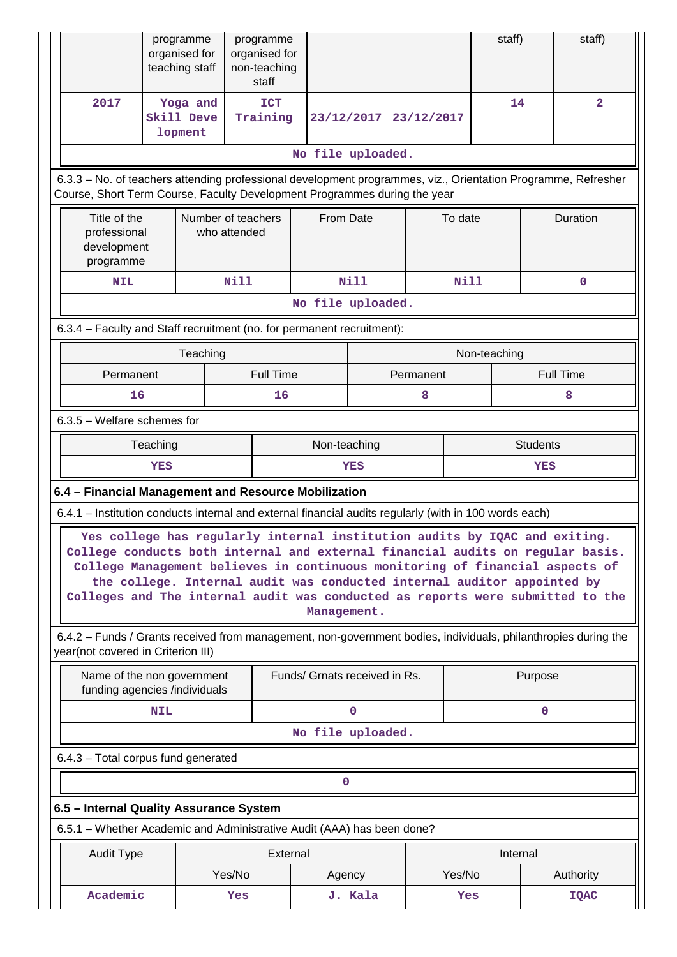|                                                                                                                                                                                            |                                                                                                                                                                                                                                                                                                                                                                                                                          | programme<br>programme<br>organised for<br>organised for<br>teaching staff<br>non-teaching<br>staff |                        |                               |              |            | staff)       |                 | staff)                                                                                                         |  |
|--------------------------------------------------------------------------------------------------------------------------------------------------------------------------------------------|--------------------------------------------------------------------------------------------------------------------------------------------------------------------------------------------------------------------------------------------------------------------------------------------------------------------------------------------------------------------------------------------------------------------------|-----------------------------------------------------------------------------------------------------|------------------------|-------------------------------|--------------|------------|--------------|-----------------|----------------------------------------------------------------------------------------------------------------|--|
| 2017                                                                                                                                                                                       | Yoga and<br>Skill Deve<br>lopment                                                                                                                                                                                                                                                                                                                                                                                        |                                                                                                     | <b>ICT</b><br>Training | 23/12/2017                    |              | 23/12/2017 | 14           |                 | $\overline{\mathbf{2}}$                                                                                        |  |
|                                                                                                                                                                                            | No file uploaded.                                                                                                                                                                                                                                                                                                                                                                                                        |                                                                                                     |                        |                               |              |            |              |                 |                                                                                                                |  |
| 6.3.3 - No. of teachers attending professional development programmes, viz., Orientation Programme, Refresher<br>Course, Short Term Course, Faculty Development Programmes during the year |                                                                                                                                                                                                                                                                                                                                                                                                                          |                                                                                                     |                        |                               |              |            |              |                 |                                                                                                                |  |
| Title of the<br>Number of teachers<br>professional<br>who attended<br>development<br>programme                                                                                             |                                                                                                                                                                                                                                                                                                                                                                                                                          |                                                                                                     | From Date              |                               | To date      |            | Duration     |                 |                                                                                                                |  |
| <b>NIL</b>                                                                                                                                                                                 |                                                                                                                                                                                                                                                                                                                                                                                                                          |                                                                                                     | Nill                   |                               | <b>Nill</b>  |            | <b>Nill</b>  |                 | $\mathbf 0$                                                                                                    |  |
|                                                                                                                                                                                            |                                                                                                                                                                                                                                                                                                                                                                                                                          |                                                                                                     |                        | No file uploaded.             |              |            |              |                 |                                                                                                                |  |
| 6.3.4 - Faculty and Staff recruitment (no. for permanent recruitment):                                                                                                                     |                                                                                                                                                                                                                                                                                                                                                                                                                          |                                                                                                     |                        |                               |              |            |              |                 |                                                                                                                |  |
|                                                                                                                                                                                            |                                                                                                                                                                                                                                                                                                                                                                                                                          | Teaching                                                                                            |                        |                               |              |            | Non-teaching |                 |                                                                                                                |  |
|                                                                                                                                                                                            | Permanent                                                                                                                                                                                                                                                                                                                                                                                                                |                                                                                                     | <b>Full Time</b>       |                               |              | Permanent  |              |                 | <b>Full Time</b>                                                                                               |  |
|                                                                                                                                                                                            | 16                                                                                                                                                                                                                                                                                                                                                                                                                       |                                                                                                     | 16                     |                               |              | 8          |              |                 | 8                                                                                                              |  |
| 6.3.5 - Welfare schemes for                                                                                                                                                                |                                                                                                                                                                                                                                                                                                                                                                                                                          |                                                                                                     |                        |                               |              |            |              |                 |                                                                                                                |  |
|                                                                                                                                                                                            | Teaching                                                                                                                                                                                                                                                                                                                                                                                                                 |                                                                                                     |                        | Non-teaching                  |              |            |              | <b>Students</b> |                                                                                                                |  |
|                                                                                                                                                                                            | YES                                                                                                                                                                                                                                                                                                                                                                                                                      |                                                                                                     |                        |                               | YES          |            |              | YES             |                                                                                                                |  |
| 6.4 - Financial Management and Resource Mobilization                                                                                                                                       |                                                                                                                                                                                                                                                                                                                                                                                                                          |                                                                                                     |                        |                               |              |            |              |                 |                                                                                                                |  |
| 6.4.1 - Institution conducts internal and external financial audits regularly (with in 100 words each)                                                                                     |                                                                                                                                                                                                                                                                                                                                                                                                                          |                                                                                                     |                        |                               |              |            |              |                 |                                                                                                                |  |
|                                                                                                                                                                                            | Yes college has regularly internal institution audits by IQAC and exiting.<br>College conducts both internal and external financial audits on regular basis.<br>College Management believes in continuous monitoring of financial aspects of<br>the college. Internal audit was conducted internal auditor appointed by<br>Colleges and The internal audit was conducted as reports were submitted to the<br>Management. |                                                                                                     |                        |                               |              |            |              |                 |                                                                                                                |  |
| year(not covered in Criterion III)                                                                                                                                                         |                                                                                                                                                                                                                                                                                                                                                                                                                          |                                                                                                     |                        |                               |              |            |              |                 | 6.4.2 - Funds / Grants received from management, non-government bodies, individuals, philanthropies during the |  |
|                                                                                                                                                                                            |                                                                                                                                                                                                                                                                                                                                                                                                                          | Name of the non government<br>funding agencies /individuals                                         |                        | Funds/ Grnats received in Rs. |              |            |              | Purpose         |                                                                                                                |  |
|                                                                                                                                                                                            | <b>NIL</b>                                                                                                                                                                                                                                                                                                                                                                                                               |                                                                                                     |                        |                               | $\mathbf{0}$ |            |              | 0               |                                                                                                                |  |
|                                                                                                                                                                                            |                                                                                                                                                                                                                                                                                                                                                                                                                          |                                                                                                     |                        | No file uploaded.             |              |            |              |                 |                                                                                                                |  |
| 6.4.3 - Total corpus fund generated                                                                                                                                                        |                                                                                                                                                                                                                                                                                                                                                                                                                          |                                                                                                     |                        |                               |              |            |              |                 |                                                                                                                |  |
|                                                                                                                                                                                            |                                                                                                                                                                                                                                                                                                                                                                                                                          |                                                                                                     |                        | $\mathbf 0$                   |              |            |              |                 |                                                                                                                |  |
| 6.5 - Internal Quality Assurance System                                                                                                                                                    |                                                                                                                                                                                                                                                                                                                                                                                                                          |                                                                                                     |                        |                               |              |            |              |                 |                                                                                                                |  |
| 6.5.1 - Whether Academic and Administrative Audit (AAA) has been done?                                                                                                                     |                                                                                                                                                                                                                                                                                                                                                                                                                          |                                                                                                     |                        |                               |              |            |              |                 |                                                                                                                |  |
| Audit Type                                                                                                                                                                                 |                                                                                                                                                                                                                                                                                                                                                                                                                          |                                                                                                     | External               |                               |              |            | Internal     |                 |                                                                                                                |  |
|                                                                                                                                                                                            |                                                                                                                                                                                                                                                                                                                                                                                                                          |                                                                                                     | Yes/No                 | Agency                        |              |            | Yes/No       |                 | Authority                                                                                                      |  |
| Academic                                                                                                                                                                                   |                                                                                                                                                                                                                                                                                                                                                                                                                          |                                                                                                     | Yes                    |                               | J. Kala      |            | Yes          |                 | IQAC                                                                                                           |  |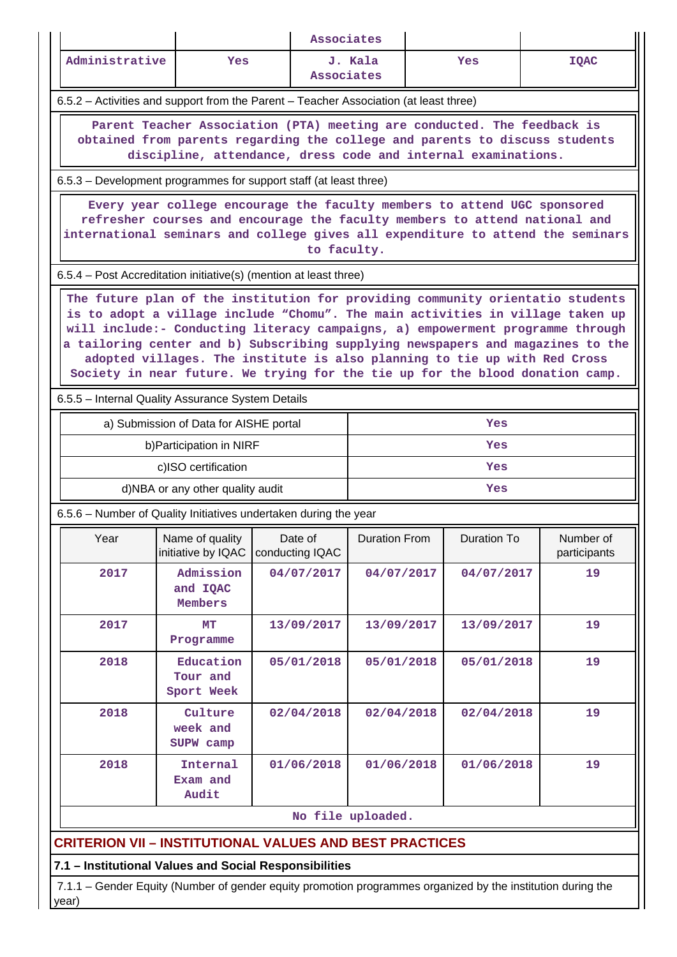| Associates                                                                                                                                                                                                                                               |                                                                                                                                                                                                                                                                                                                                                                                                                                                                                                     |                            |                      |             |                           |  |  |  |  |  |  |  |
|----------------------------------------------------------------------------------------------------------------------------------------------------------------------------------------------------------------------------------------------------------|-----------------------------------------------------------------------------------------------------------------------------------------------------------------------------------------------------------------------------------------------------------------------------------------------------------------------------------------------------------------------------------------------------------------------------------------------------------------------------------------------------|----------------------------|----------------------|-------------|---------------------------|--|--|--|--|--|--|--|
| Administrative                                                                                                                                                                                                                                           | Yes                                                                                                                                                                                                                                                                                                                                                                                                                                                                                                 | Associates                 | J. Kala              | Yes         | <b>IQAC</b>               |  |  |  |  |  |  |  |
|                                                                                                                                                                                                                                                          | 6.5.2 - Activities and support from the Parent - Teacher Association (at least three)                                                                                                                                                                                                                                                                                                                                                                                                               |                            |                      |             |                           |  |  |  |  |  |  |  |
| Parent Teacher Association (PTA) meeting are conducted. The feedback is<br>obtained from parents regarding the college and parents to discuss students<br>discipline, attendance, dress code and internal examinations.                                  |                                                                                                                                                                                                                                                                                                                                                                                                                                                                                                     |                            |                      |             |                           |  |  |  |  |  |  |  |
|                                                                                                                                                                                                                                                          | 6.5.3 – Development programmes for support staff (at least three)                                                                                                                                                                                                                                                                                                                                                                                                                                   |                            |                      |             |                           |  |  |  |  |  |  |  |
| Every year college encourage the faculty members to attend UGC sponsored<br>refresher courses and encourage the faculty members to attend national and<br>international seminars and college gives all expenditure to attend the seminars<br>to faculty. |                                                                                                                                                                                                                                                                                                                                                                                                                                                                                                     |                            |                      |             |                           |  |  |  |  |  |  |  |
|                                                                                                                                                                                                                                                          | 6.5.4 – Post Accreditation initiative(s) (mention at least three)                                                                                                                                                                                                                                                                                                                                                                                                                                   |                            |                      |             |                           |  |  |  |  |  |  |  |
| 6.5.5 - Internal Quality Assurance System Details                                                                                                                                                                                                        | The future plan of the institution for providing community orientatio students<br>is to adopt a village include "Chomu". The main activities in village taken up<br>will include:- Conducting literacy campaigns, a) empowerment programme through<br>a tailoring center and b) Subscribing supplying newspapers and magazines to the<br>adopted villages. The institute is also planning to tie up with Red Cross<br>Society in near future. We trying for the tie up for the blood donation camp. |                            |                      |             |                           |  |  |  |  |  |  |  |
|                                                                                                                                                                                                                                                          | a) Submission of Data for AISHE portal                                                                                                                                                                                                                                                                                                                                                                                                                                                              |                            |                      | Yes         |                           |  |  |  |  |  |  |  |
|                                                                                                                                                                                                                                                          | b) Participation in NIRF                                                                                                                                                                                                                                                                                                                                                                                                                                                                            |                            |                      | Yes         |                           |  |  |  |  |  |  |  |
|                                                                                                                                                                                                                                                          | c)ISO certification                                                                                                                                                                                                                                                                                                                                                                                                                                                                                 |                            |                      | Yes         |                           |  |  |  |  |  |  |  |
|                                                                                                                                                                                                                                                          | d)NBA or any other quality audit                                                                                                                                                                                                                                                                                                                                                                                                                                                                    |                            |                      | Yes         |                           |  |  |  |  |  |  |  |
|                                                                                                                                                                                                                                                          | 6.5.6 – Number of Quality Initiatives undertaken during the year                                                                                                                                                                                                                                                                                                                                                                                                                                    |                            |                      |             |                           |  |  |  |  |  |  |  |
| Year                                                                                                                                                                                                                                                     | Name of quality<br>initiative by IQAC                                                                                                                                                                                                                                                                                                                                                                                                                                                               | Date of<br>conducting IQAC | <b>Duration From</b> | Duration To | Number of<br>participants |  |  |  |  |  |  |  |
| 2017                                                                                                                                                                                                                                                     | Admission<br>and IQAC<br>Members                                                                                                                                                                                                                                                                                                                                                                                                                                                                    | 04/07/2017                 | 04/07/2017           | 04/07/2017  | 19                        |  |  |  |  |  |  |  |
| 2017                                                                                                                                                                                                                                                     | MТ<br>Programme                                                                                                                                                                                                                                                                                                                                                                                                                                                                                     | 13/09/2017                 | 13/09/2017           | 13/09/2017  | 19                        |  |  |  |  |  |  |  |
| 2018                                                                                                                                                                                                                                                     | Education<br>Tour and<br>Sport Week                                                                                                                                                                                                                                                                                                                                                                                                                                                                 | 05/01/2018                 | 05/01/2018           | 05/01/2018  | 19                        |  |  |  |  |  |  |  |
| 2018<br>19<br>Culture<br>02/04/2018<br>02/04/2018<br>02/04/2018<br>week and<br>SUPW camp                                                                                                                                                                 |                                                                                                                                                                                                                                                                                                                                                                                                                                                                                                     |                            |                      |             |                           |  |  |  |  |  |  |  |
| 2018                                                                                                                                                                                                                                                     | Internal<br>Exam and<br>Audit                                                                                                                                                                                                                                                                                                                                                                                                                                                                       | 01/06/2018                 | 01/06/2018           | 01/06/2018  | 19                        |  |  |  |  |  |  |  |
|                                                                                                                                                                                                                                                          |                                                                                                                                                                                                                                                                                                                                                                                                                                                                                                     |                            | No file uploaded.    |             |                           |  |  |  |  |  |  |  |
|                                                                                                                                                                                                                                                          | <b>CRITERION VII - INSTITUTIONAL VALUES AND BEST PRACTICES</b>                                                                                                                                                                                                                                                                                                                                                                                                                                      |                            |                      |             |                           |  |  |  |  |  |  |  |
|                                                                                                                                                                                                                                                          | 7.1 - Institutional Values and Social Responsibilities                                                                                                                                                                                                                                                                                                                                                                                                                                              |                            |                      |             |                           |  |  |  |  |  |  |  |
| year)                                                                                                                                                                                                                                                    | 7.1.1 – Gender Equity (Number of gender equity promotion programmes organized by the institution during the                                                                                                                                                                                                                                                                                                                                                                                         |                            |                      |             |                           |  |  |  |  |  |  |  |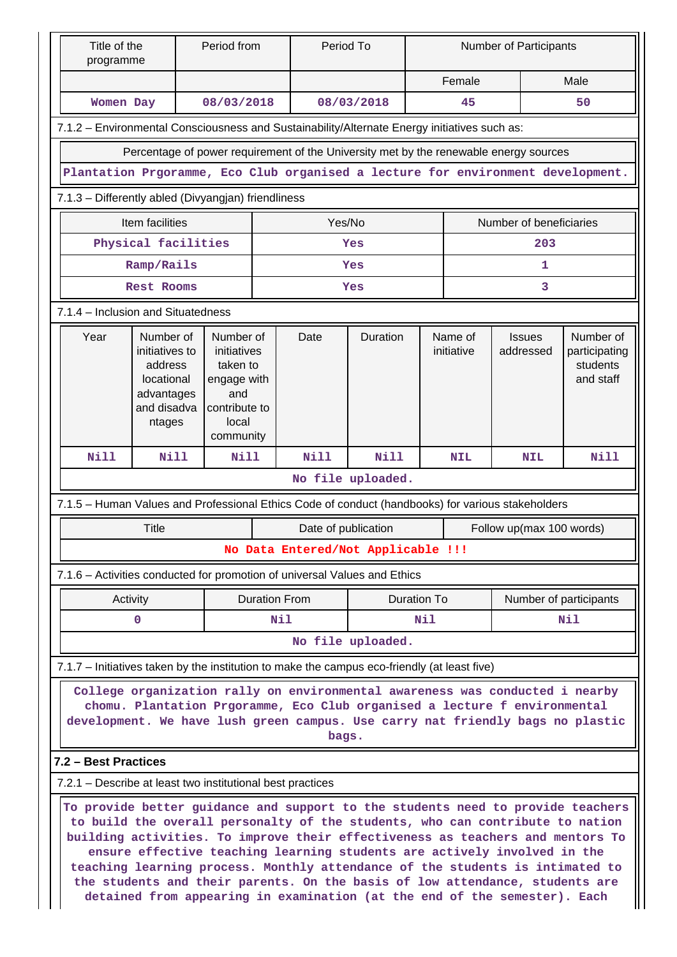| Title of the<br>programme                                                                                                                                                                                                                            |                                                                                                                                                                                                                                                                                                                                                                                                                                                                                                 | Period from                                                                                       |                      | Period To           |                                    | <b>Number of Participants</b> |                       |                                                                           |                                                     |  |  |
|------------------------------------------------------------------------------------------------------------------------------------------------------------------------------------------------------------------------------------------------------|-------------------------------------------------------------------------------------------------------------------------------------------------------------------------------------------------------------------------------------------------------------------------------------------------------------------------------------------------------------------------------------------------------------------------------------------------------------------------------------------------|---------------------------------------------------------------------------------------------------|----------------------|---------------------|------------------------------------|-------------------------------|-----------------------|---------------------------------------------------------------------------|-----------------------------------------------------|--|--|
|                                                                                                                                                                                                                                                      |                                                                                                                                                                                                                                                                                                                                                                                                                                                                                                 |                                                                                                   |                      |                     |                                    | Female                        |                       |                                                                           | Male                                                |  |  |
|                                                                                                                                                                                                                                                      | Women Day<br>08/03/2018                                                                                                                                                                                                                                                                                                                                                                                                                                                                         |                                                                                                   |                      |                     | 08/03/2018<br>45                   |                               |                       |                                                                           | 50                                                  |  |  |
|                                                                                                                                                                                                                                                      | 7.1.2 - Environmental Consciousness and Sustainability/Alternate Energy initiatives such as:                                                                                                                                                                                                                                                                                                                                                                                                    |                                                                                                   |                      |                     |                                    |                               |                       |                                                                           |                                                     |  |  |
| Percentage of power requirement of the University met by the renewable energy sources                                                                                                                                                                |                                                                                                                                                                                                                                                                                                                                                                                                                                                                                                 |                                                                                                   |                      |                     |                                    |                               |                       |                                                                           |                                                     |  |  |
| Plantation Prgoramme, Eco Club organised a lecture for environment development.<br>7.1.3 - Differently abled (Divyangjan) friendliness                                                                                                               |                                                                                                                                                                                                                                                                                                                                                                                                                                                                                                 |                                                                                                   |                      |                     |                                    |                               |                       |                                                                           |                                                     |  |  |
|                                                                                                                                                                                                                                                      |                                                                                                                                                                                                                                                                                                                                                                                                                                                                                                 |                                                                                                   |                      |                     |                                    |                               |                       |                                                                           |                                                     |  |  |
| Item facilities<br>Yes/No<br>Number of beneficiaries                                                                                                                                                                                                 |                                                                                                                                                                                                                                                                                                                                                                                                                                                                                                 |                                                                                                   |                      |                     |                                    |                               |                       |                                                                           |                                                     |  |  |
| Physical facilities<br>203<br>Yes                                                                                                                                                                                                                    |                                                                                                                                                                                                                                                                                                                                                                                                                                                                                                 |                                                                                                   |                      |                     |                                    |                               |                       |                                                                           |                                                     |  |  |
|                                                                                                                                                                                                                                                      | Ramp/Rails                                                                                                                                                                                                                                                                                                                                                                                                                                                                                      |                                                                                                   |                      |                     | Yes                                |                               |                       | 1                                                                         |                                                     |  |  |
|                                                                                                                                                                                                                                                      | <b>Rest Rooms</b>                                                                                                                                                                                                                                                                                                                                                                                                                                                                               |                                                                                                   |                      |                     | Yes                                |                               |                       | 3                                                                         |                                                     |  |  |
|                                                                                                                                                                                                                                                      | 7.1.4 - Inclusion and Situatedness                                                                                                                                                                                                                                                                                                                                                                                                                                                              |                                                                                                   |                      |                     |                                    |                               |                       |                                                                           |                                                     |  |  |
| Year                                                                                                                                                                                                                                                 | Number of<br>initiatives to<br>address<br>locational<br>advantages<br>and disadva<br>ntages                                                                                                                                                                                                                                                                                                                                                                                                     | Number of<br>initiatives<br>taken to<br>engage with<br>and<br>contribute to<br>local<br>community |                      | Date                | <b>Duration</b>                    |                               | Name of<br>initiative | <b>Issues</b><br>addressed                                                | Number of<br>participating<br>students<br>and staff |  |  |
| <b>Nill</b>                                                                                                                                                                                                                                          | <b>Nill</b>                                                                                                                                                                                                                                                                                                                                                                                                                                                                                     | <b>Nill</b>                                                                                       |                      | <b>Nill</b>         | <b>Nill</b>                        |                               | <b>NIL</b>            | <b>NIL</b>                                                                | Nill                                                |  |  |
|                                                                                                                                                                                                                                                      |                                                                                                                                                                                                                                                                                                                                                                                                                                                                                                 |                                                                                                   |                      |                     | No file uploaded.                  |                               |                       |                                                                           |                                                     |  |  |
|                                                                                                                                                                                                                                                      | 7.1.5 - Human Values and Professional Ethics Code of conduct (handbooks) for various stakeholders                                                                                                                                                                                                                                                                                                                                                                                               |                                                                                                   |                      |                     |                                    |                               |                       |                                                                           |                                                     |  |  |
|                                                                                                                                                                                                                                                      | <b>Title</b>                                                                                                                                                                                                                                                                                                                                                                                                                                                                                    |                                                                                                   |                      | Date of publication |                                    |                               |                       | Follow up(max 100 words)                                                  |                                                     |  |  |
|                                                                                                                                                                                                                                                      |                                                                                                                                                                                                                                                                                                                                                                                                                                                                                                 |                                                                                                   |                      |                     | No Data Entered/Not Applicable !!! |                               |                       |                                                                           |                                                     |  |  |
|                                                                                                                                                                                                                                                      | 7.1.6 - Activities conducted for promotion of universal Values and Ethics                                                                                                                                                                                                                                                                                                                                                                                                                       |                                                                                                   |                      |                     |                                    |                               |                       |                                                                           |                                                     |  |  |
|                                                                                                                                                                                                                                                      | Activity                                                                                                                                                                                                                                                                                                                                                                                                                                                                                        |                                                                                                   | <b>Duration From</b> |                     |                                    | <b>Duration To</b>            |                       | Number of participants                                                    |                                                     |  |  |
|                                                                                                                                                                                                                                                      | $\mathbf 0$                                                                                                                                                                                                                                                                                                                                                                                                                                                                                     |                                                                                                   | Nil                  | Nil                 |                                    |                               | Nil                   |                                                                           |                                                     |  |  |
|                                                                                                                                                                                                                                                      |                                                                                                                                                                                                                                                                                                                                                                                                                                                                                                 |                                                                                                   |                      |                     | No file uploaded.                  |                               |                       |                                                                           |                                                     |  |  |
|                                                                                                                                                                                                                                                      | 7.1.7 - Initiatives taken by the institution to make the campus eco-friendly (at least five)                                                                                                                                                                                                                                                                                                                                                                                                    |                                                                                                   |                      |                     |                                    |                               |                       |                                                                           |                                                     |  |  |
| College organization rally on environmental awareness was conducted i nearby<br>chomu. Plantation Prgoramme, Eco Club organised a lecture f environmental<br>development. We have lush green campus. Use carry nat friendly bags no plastic<br>bags. |                                                                                                                                                                                                                                                                                                                                                                                                                                                                                                 |                                                                                                   |                      |                     |                                    |                               |                       |                                                                           |                                                     |  |  |
| 7.2 - Best Practices                                                                                                                                                                                                                                 |                                                                                                                                                                                                                                                                                                                                                                                                                                                                                                 |                                                                                                   |                      |                     |                                    |                               |                       |                                                                           |                                                     |  |  |
|                                                                                                                                                                                                                                                      | 7.2.1 – Describe at least two institutional best practices                                                                                                                                                                                                                                                                                                                                                                                                                                      |                                                                                                   |                      |                     |                                    |                               |                       |                                                                           |                                                     |  |  |
|                                                                                                                                                                                                                                                      | To provide better guidance and support to the students need to provide teachers<br>to build the overall personalty of the students, who can contribute to nation<br>building activities. To improve their effectiveness as teachers and mentors To<br>ensure effective teaching learning students are actively involved in the<br>teaching learning process. Monthly attendance of the students is intimated to<br>the students and their parents. On the basis of low attendance, students are |                                                                                                   |                      |                     |                                    |                               |                       | detained from appearing in examination (at the end of the semester). Each |                                                     |  |  |